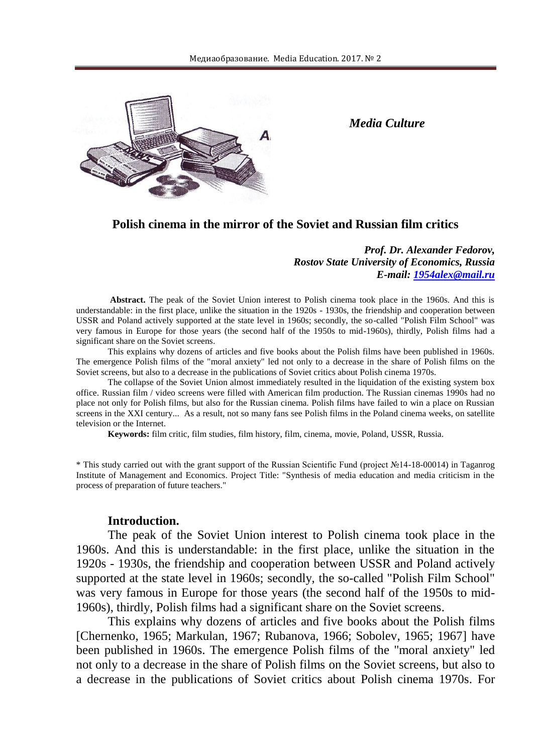

*Media Culture*

### **Polish cinema in the mirror of the Soviet and Russian film critics**

*Prof. Dr. Alexander Fedorov, Rostov State University of Economics, Russia E-mail: [1954alex@mail.ru](mailto:1954alex@mail.ru)*

**Abstract.** The peak of the Soviet Union interest to Polish cinema took place in the 1960s. And this is understandable: in the first place, unlike the situation in the 1920s - 1930s, the friendship and cooperation between USSR and Poland actively supported at the state level in 1960s; secondly, the so-called "Polish Film School" was very famous in Europe for those years (the second half of the 1950s to mid-1960s), thirdly, Polish films had a significant share on the Soviet screens.

This explains why dozens of articles and five books about the Polish films have been published in 1960s. The emergence Polish films of the "moral anxiety" led not only to a decrease in the share of Polish films on the Soviet screens, but also to a decrease in the publications of Soviet critics about Polish cinema 1970s.

The collapse of the Soviet Union almost immediately resulted in the liquidation of the existing system box office. Russian film / video screens were filled with American film production. The Russian cinemas 1990s had no place not only for Polish films, but also for the Russian cinema. Polish films have failed to win a place on Russian screens in the XXI century... As a result, not so many fans see Polish films in the Poland cinema weeks, on satellite television or the Internet.

**Keywords:** film critic, film studies, film history, film, cinema, movie, Poland, USSR, Russia.

\* This study carried out with the grant support of the Russian Scientific Fund (project №14-18-00014) in Taganrog Institute of Management and Economics. Project Title: "Synthesis of media education and media criticism in the process of preparation of future teachers."

#### **Introduction.**

The peak of the Soviet Union interest to Polish cinema took place in the 1960s. And this is understandable: in the first place, unlike the situation in the 1920s - 1930s, the friendship and cooperation between USSR and Poland actively supported at the state level in 1960s; secondly, the so-called "Polish Film School" was very famous in Europe for those years (the second half of the 1950s to mid-1960s), thirdly, Polish films had a significant share on the Soviet screens.

This explains why dozens of articles and five books about the Polish films [Chernenko, 1965; Markulan, 1967; Rubanova, 1966; Sobolev, 1965; 1967] have been published in 1960s. The emergence Polish films of the "moral anxiety" led not only to a decrease in the share of Polish films on the Soviet screens, but also to a decrease in the publications of Soviet critics about Polish cinema 1970s. For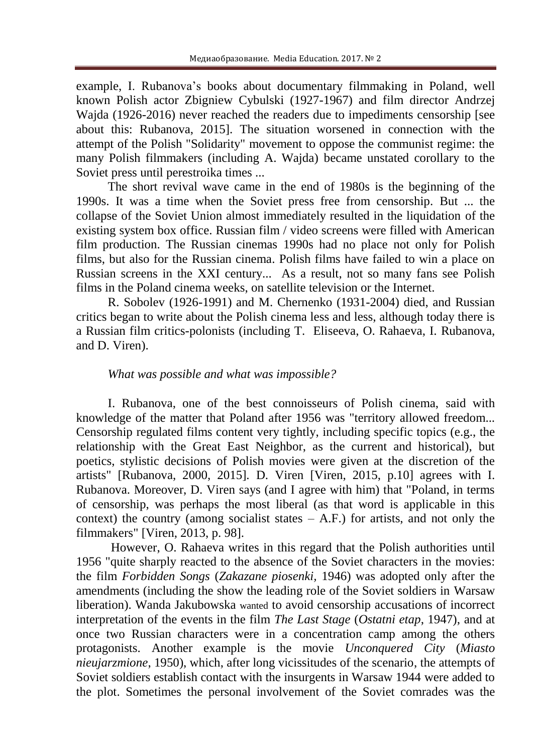example, I. Rubanova's books about documentary filmmaking in Poland, well known Polish actor Zbigniew Cybulski (1927-1967) and film director Andrzej Wajda (1926-2016) never reached the readers due to impediments censorship [see about this: Rubanova, 2015]. The situation worsened in connection with the attempt of the Polish "Solidarity" movement to oppose the communist regime: the many Polish filmmakers (including A. Wajda) became unstated corollary to the Soviet press until perestroika times ...

The short revival wave came in the end of 1980s is the beginning of the 1990s. It was a time when the Soviet press free from censorship. But ... the collapse of the Soviet Union almost immediately resulted in the liquidation of the existing system box office. Russian film / video screens were filled with American film production. The Russian cinemas 1990s had no place not only for Polish films, but also for the Russian cinema. Polish films have failed to win a place on Russian screens in the XXI century... As a result, not so many fans see Polish films in the Poland cinema weeks, on satellite television or the Internet.

R. Sobolev (1926-1991) and M. Chernenko (1931-2004) died, and Russian critics began to write about the Polish cinema less and less, although today there is a Russian film critics-polonists (including T. Eliseeva, O. Rahaeva, I. Rubanova, and D. Viren).

### *What was possible and what was impossible?*

I. Rubanova, one of the best connoisseurs of Polish cinema, said with knowledge of the matter that Poland after 1956 was "territory allowed freedom... Censorship regulated films content very tightly, including specific topics (e.g., the relationship with the Great East Neighbor, as the current and historical), but poetics, stylistic decisions of Polish movies were given at the discretion of the artists" [Rubanova, 2000, 2015]. D. Viren [Viren, 2015, p.10] agrees with I. Rubanova. Moreover, D. Viren says (and I agree with him) that "Poland, in terms of censorship, was perhaps the most liberal (as that word is applicable in this context) the country (among socialist states  $-$  A.F.) for artists, and not only the filmmakers" [Viren, 2013, p. 98].

However, O. Rahaeva writes in this regard that the Polish authorities until 1956 "quite sharply reacted to the absence of the Soviet characters in the movies: the film *Forbidden Songs* (*Zakazane piosenki,* 1946) was adopted only after the amendments (including the show the leading role of the Soviet soldiers in Warsaw liberation). Wanda Jakubowska wanted to avoid censorship accusations of incorrect interpretation of the events in the film *The Last Stage* (*Ostatni etap*, 1947), and at once two Russian characters were in a concentration camp among the others protagonists. Another example is the movie *Unconquered City* (*Miasto nieujarzmione*, 1950), which, after long vicissitudes of the scenario, the attempts of Soviet soldiers establish contact with the insurgents in Warsaw 1944 were added to the plot. Sometimes the personal involvement of the Soviet comrades was the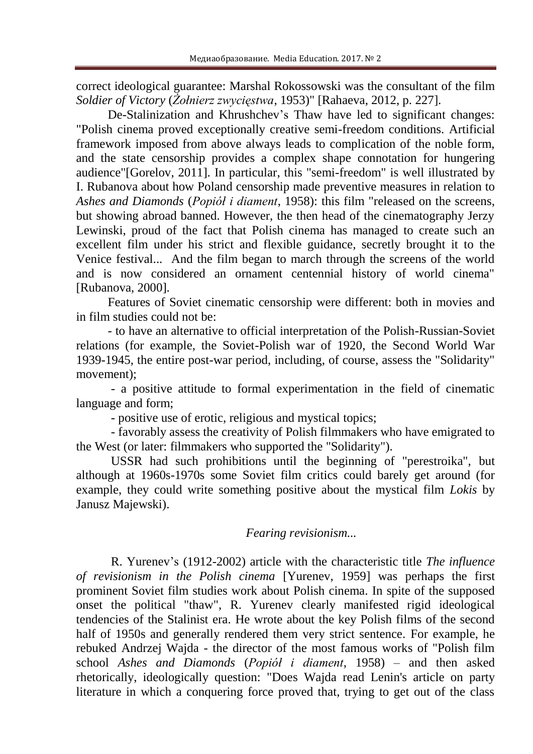correct ideological guarantee: Marshal Rokossowski was the consultant of the film *Soldier of Victory* (*Żołnierz zwycięstwa*, 1953)" [Rahaeva, 2012, p. 227].

De-Stalinization and Khrushchev's Thaw have led to significant changes: "Polish cinema proved exceptionally creative semi-freedom conditions. Artificial framework imposed from above always leads to complication of the noble form, and the state censorship provides a complex shape connotation for hungering audience"[Gorelov, 2011]. In particular, this "semi-freedom" is well illustrated by I. Rubanova about how Poland censorship made preventive measures in relation to *Ashes and Diamonds* (*Popiół i diament*, 1958): this film "released on the screens, but showing abroad banned. However, the then head of the cinematography Jerzy Lewinski, proud of the fact that Polish cinema has managed to create such an excellent film under his strict and flexible guidance, secretly brought it to the Venice festival... And the film began to march through the screens of the world and is now considered an ornament centennial history of world cinema" [Rubanova, 2000].

Features of Soviet cinematic censorship were different: both in movies and in film studies could not be:

- to have an alternative to official interpretation of the Polish-Russian-Soviet relations (for example, the Soviet-Polish war of 1920, the Second World War 1939-1945, the entire post-war period, including, of course, assess the "Solidarity" movement);

- a positive attitude to formal experimentation in the field of cinematic language and form;

- positive use of erotic, religious and mystical topics;

- favorably assess the creativity of Polish filmmakers who have emigrated to the West (or later: filmmakers who supported the "Solidarity").

USSR had such prohibitions until the beginning of "perestroika", but although at 1960s-1970s some Soviet film critics could barely get around (for example, they could write something positive about the mystical film *Lokis* by Janusz Majewski).

## *Fearing revisionism...*

R. Yurenev's (1912-2002) article with the characteristic title *The influence of revisionism in the Polish cinema* [Yurenev, 1959] was perhaps the first prominent Soviet film studies work about Polish cinema. In spite of the supposed onset the political "thaw", R. Yurenev clearly manifested rigid ideological tendencies of the Stalinist era. He wrote about the key Polish films of the second half of 1950s and generally rendered them very strict sentence. For example, he rebuked Andrzej Wajda - the director of the most famous works of "Polish film school *Ashes and Diamonds* (*Popiół i diament*, 1958) – and then asked rhetorically, ideologically question: "Does Wajda read Lenin's article on party literature in which a conquering force proved that, trying to get out of the class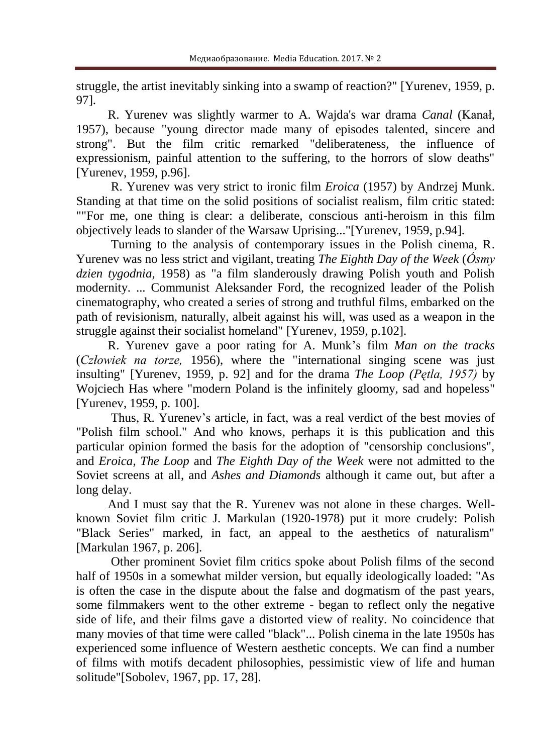struggle, the artist inevitably sinking into a swamp of reaction?" [Yurenev, 1959, p. 97].

R. Yurenev was slightly warmer to A. Wajda's war drama *Canal* (Kanał, 1957), because "young director made many of episodes talented, sincere and strong". But the film critic remarked "deliberateness, the influence of expressionism, painful attention to the suffering, to the horrors of slow deaths" [Yurenev, 1959, p.96].

R. Yurenev was very strict to ironic film *Eroica* (1957) by Andrzej Munk. Standing at that time on the solid positions of socialist realism, film critic stated: ""For me, one thing is clear: a deliberate, conscious anti-heroism in this film objectively leads to slander of the Warsaw Uprising..."[Yurenev, 1959, p.94].

Turning to the analysis of contemporary issues in the Polish cinema, R. Yurenev was no less strict and vigilant, treating *The Eighth Day of the Week* (*Ósmy dzien tygodnia,* 1958) as "a film slanderously drawing Polish youth and Polish modernity. ... Communist Aleksander Ford, the recognized leader of the Polish cinematography, who created a series of strong and truthful films, embarked on the path of revisionism, naturally, albeit against his will, was used as a weapon in the struggle against their socialist homeland" [Yurenev, 1959, p.102].

R. Yurenev gave a poor rating for A. Munk's film *Man on the tracks* (*Człowiek na torze,* 1956), where the "international singing scene was just insulting" [Yurenev, 1959, p. 92] and for the drama *The Loop (Pętla, 1957)* by Wojciech Has where "modern Poland is the infinitely gloomy, sad and hopeless" [Yurenev, 1959, p. 100].

Thus, R. Yurenev's article, in fact, was a real verdict of the best movies of "Polish film school." And who knows, perhaps it is this publication and this particular opinion formed the basis for the adoption of "censorship conclusions", and *Eroica*, *The Loop* and *The Eighth Day of the Week* were not admitted to the Soviet screens at all, and *Ashes and Diamonds* although it came out, but after a long delay.

And I must say that the R. Yurenev was not alone in these charges. Wellknown Soviet film critic J. Markulan (1920-1978) put it more crudely: Polish "Black Series" marked, in fact, an appeal to the aesthetics of naturalism" [Markulan 1967, p. 206].

Other prominent Soviet film critics spoke about Polish films of the second half of 1950s in a somewhat milder version, but equally ideologically loaded: "As is often the case in the dispute about the false and dogmatism of the past years, some filmmakers went to the other extreme - began to reflect only the negative side of life, and their films gave a distorted view of reality. No coincidence that many movies of that time were called "black"... Polish cinema in the late 1950s has experienced some influence of Western aesthetic concepts. We can find a number of films with motifs decadent philosophies, pessimistic view of life and human solitude"[Sobolev, 1967, pp. 17, 28].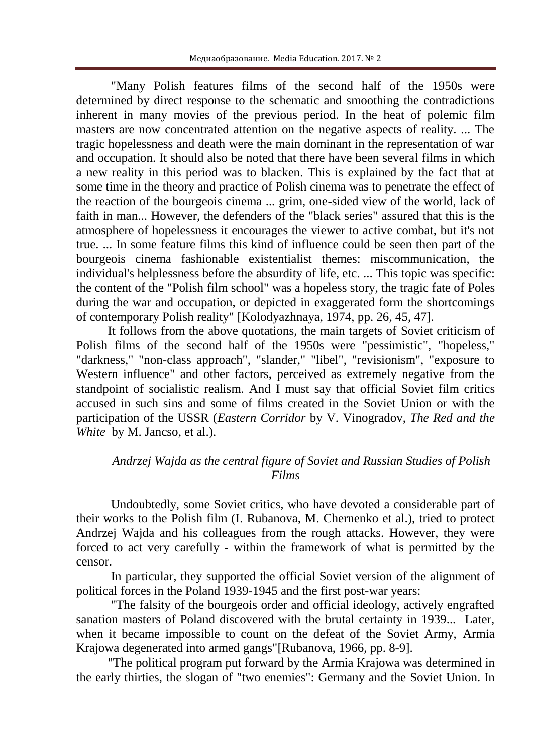"Many Polish features films of the second half of the 1950s were determined by direct response to the schematic and smoothing the contradictions inherent in many movies of the previous period. In the heat of polemic film masters are now concentrated attention on the negative aspects of reality. ... The tragic hopelessness and death were the main dominant in the representation of war and occupation. It should also be noted that there have been several films in which a new reality in this period was to blacken. This is explained by the fact that at some time in the theory and practice of Polish cinema was to penetrate the effect of the reaction of the bourgeois cinema ... grim, one-sided view of the world, lack of faith in man... However, the defenders of the "black series" assured that this is the atmosphere of hopelessness it encourages the viewer to active combat, but it's not true. ... In some feature films this kind of influence could be seen then part of the bourgeois cinema fashionable existentialist themes: miscommunication, the individual's helplessness before the absurdity of life, etc. ... This topic was specific: the content of the "Polish film school" was a hopeless story, the tragic fate of Poles during the war and occupation, or depicted in exaggerated form the shortcomings of contemporary Polish reality" [Kolodyazhnaya, 1974, pp. 26, 45, 47].

It follows from the above quotations, the main targets of Soviet criticism of Polish films of the second half of the 1950s were "pessimistic", "hopeless," "darkness," "non-class approach", "slander," "libel", "revisionism", "exposure to Western influence" and other factors, perceived as extremely negative from the standpoint of socialistic realism. And I must say that official Soviet film critics accused in such sins and some of films created in the Soviet Union or with the participation of the USSR (*Eastern Corridor* by V. Vinogradov, *The Red and the White* by M. Jancso, et al.).

# *Andrzej Wajda as the central figure of Soviet and Russian Studies of Polish Films*

Undoubtedly, some Soviet critics, who have devoted a considerable part of their works to the Polish film (I. Rubanova, M. Chernenko et al.), tried to protect Andrzej Wajda and his colleagues from the rough attacks. However, they were forced to act very carefully - within the framework of what is permitted by the censor.

In particular, they supported the official Soviet version of the alignment of political forces in the Poland 1939-1945 and the first post-war years:

"The falsity of the bourgeois order and official ideology, actively engrafted sanation masters of Poland discovered with the brutal certainty in 1939... Later, when it became impossible to count on the defeat of the Soviet Army, Armia Krajowa degenerated into armed gangs"[Rubanova, 1966, pp. 8-9].

"The political program put forward by the Armia Krajowa was determined in the early thirties, the slogan of "two enemies": Germany and the Soviet Union. In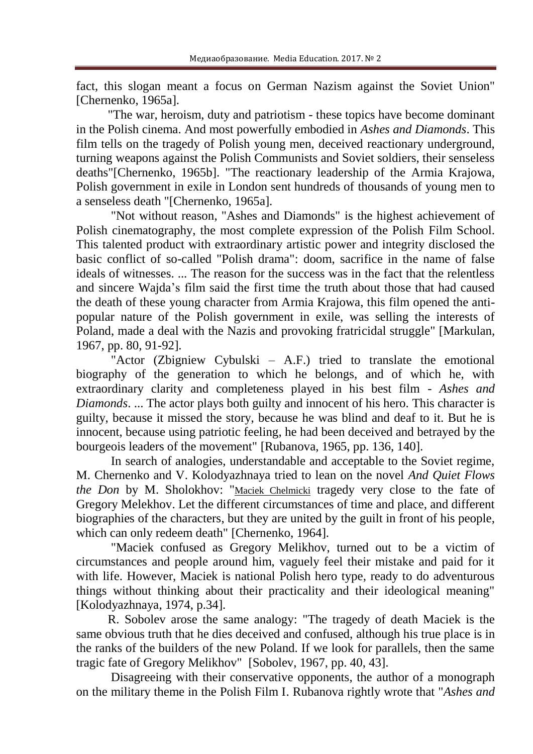fact, this slogan meant a focus on German Nazism against the Soviet Union" [Chernenko, 1965a].

"The war, heroism, duty and patriotism - these topics have become dominant in the Polish cinema. And most powerfully embodied in *Ashes and Diamonds*. This film tells on the tragedy of Polish young men, deceived reactionary underground, turning weapons against the Polish Communists and Soviet soldiers, their senseless deaths"[Chernenko, 1965b]. "The reactionary leadership of the Armia Krajowa, Polish government in exile in London sent hundreds of thousands of young men to a senseless death "[Chernenko, 1965a].

"Not without reason, "Ashes and Diamonds" is the highest achievement of Polish cinematography, the most complete expression of the Polish Film School. This talented product with extraordinary artistic power and integrity disclosed the basic conflict of so-called "Polish drama": doom, sacrifice in the name of false ideals of witnesses. ... The reason for the success was in the fact that the relentless and sincere Wajda's film said the first time the truth about those that had caused the death of these young character from Armia Krajowa, this film opened the antipopular nature of the Polish government in exile, was selling the interests of Poland, made a deal with the Nazis and provoking fratricidal struggle" [Markulan, 1967, pp. 80, 91-92].

"Actor (Zbigniew Cybulski – A.F.) tried to translate the emotional biography of the generation to which he belongs, and of which he, with extraordinary clarity and completeness played in his best film - *Ashes and Diamonds*. ... The actor plays both guilty and innocent of his hero. This character is guilty, because it missed the story, because he was blind and deaf to it. But he is innocent, because using patriotic feeling, he had been deceived and betrayed by the bourgeois leaders of the movement" [Rubanova, 1965, pp. 136, 140].

In search of analogies, understandable and acceptable to the Soviet regime, M. Chernenko and V. Kolodyazhnaya tried to lean on the novel *And Quiet Flows the Don* by M. Sholokhov: "[Maciek Chelmicki](http://www.imdb.com/character/ch0509366/?ref_=ttfc_fc_cl_t1) tragedy very close to the fate of Gregory Melekhov. Let the different circumstances of time and place, and different biographies of the characters, but they are united by the guilt in front of his people, which can only redeem death" [Chernenko, 1964].

"Maciek confused as Gregory Melikhov, turned out to be a victim of circumstances and people around him, vaguely feel their mistake and paid for it with life. However, Maciek is national Polish hero type, ready to do adventurous things without thinking about their practicality and their ideological meaning" [Kolodyazhnaya, 1974, p.34].

R. Sobolev arose the same analogy: "The tragedy of death Maciek is the same obvious truth that he dies deceived and confused, although his true place is in the ranks of the builders of the new Poland. If we look for parallels, then the same tragic fate of Gregory Melikhov" [Sobolev, 1967, pp. 40, 43].

Disagreeing with their conservative opponents, the author of a monograph on the military theme in the Polish Film I. Rubanova rightly wrote that "*Ashes and*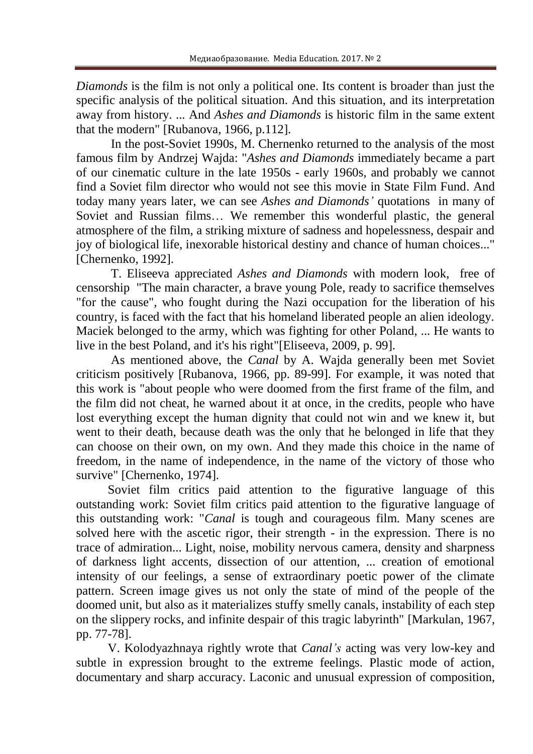*Diamonds* is the film is not only a political one. Its content is broader than just the specific analysis of the political situation. And this situation, and its interpretation away from history. ... And *Ashes and Diamonds* is historic film in the same extent that the modern" [Rubanova, 1966, p.112].

In the post-Soviet 1990s, M. Chernenko returned to the analysis of the most famous film by Andrzej Wajda: "*Ashes and Diamonds* immediately became a part of our cinematic culture in the late 1950s - early 1960s, and probably we cannot find a Soviet film director who would not see this movie in State Film Fund. And today many years later, we can see *Ashes and Diamonds'* quotations in many of Soviet and Russian films… We remember this wonderful plastic, the general atmosphere of the film, a striking mixture of sadness and hopelessness, despair and joy of biological life, inexorable historical destiny and chance of human choices..." [Chernenko, 1992].

T. Eliseeva appreciated *Ashes and Diamonds* with modern look, free of censorship "The main character, a brave young Pole, ready to sacrifice themselves "for the cause", who fought during the Nazi occupation for the liberation of his country, is faced with the fact that his homeland liberated people an alien ideology. Maciek belonged to the army, which was fighting for other Poland, ... He wants to live in the best Poland, and it's his right"[Eliseeva, 2009, p. 99].

As mentioned above, the *Canal* by A. Wajda generally been met Soviet criticism positively [Rubanova, 1966, pp. 89-99]. For example, it was noted that this work is "about people who were doomed from the first frame of the film, and the film did not cheat, he warned about it at once, in the credits, people who have lost everything except the human dignity that could not win and we knew it, but went to their death, because death was the only that he belonged in life that they can choose on their own, on my own. And they made this choice in the name of freedom, in the name of independence, in the name of the victory of those who survive" [Chernenko, 1974].

Soviet film critics paid attention to the figurative language of this outstanding work: Soviet film critics paid attention to the figurative language of this outstanding work: "*Canal* is tough and courageous film. Many scenes are solved here with the ascetic rigor, their strength - in the expression. There is no trace of admiration... Light, noise, mobility nervous camera, density and sharpness of darkness light accents, dissection of our attention, ... creation of emotional intensity of our feelings, a sense of extraordinary poetic power of the climate pattern. Screen image gives us not only the state of mind of the people of the doomed unit, but also as it materializes stuffy smelly canals, instability of each step on the slippery rocks, and infinite despair of this tragic labyrinth" [Markulan, 1967, pp. 77-78].

V. Kolodyazhnaya rightly wrote that *Canal's* acting was very low-key and subtle in expression brought to the extreme feelings. Plastic mode of action, documentary and sharp accuracy. Laconic and unusual expression of composition,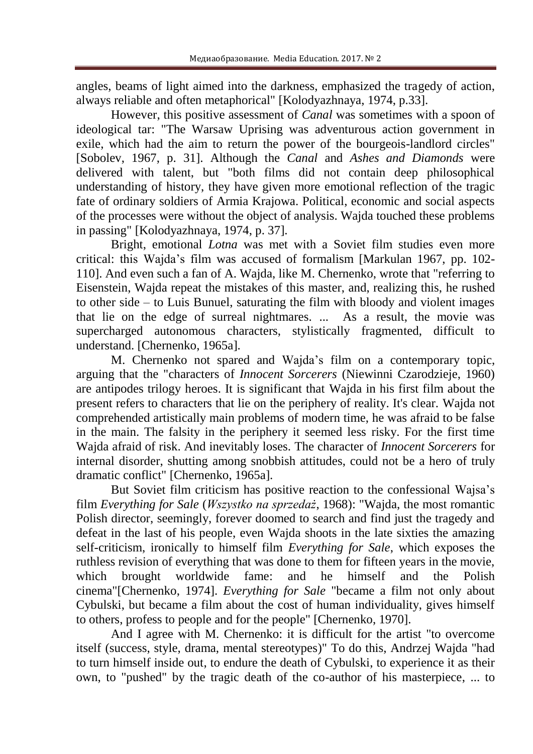angles, beams of light aimed into the darkness, emphasized the tragedy of action, always reliable and often metaphorical" [Kolodyazhnaya, 1974, p.33].

However, this positive assessment of *Canal* was sometimes with a spoon of ideological tar: "The Warsaw Uprising was adventurous action government in exile, which had the aim to return the power of the bourgeois-landlord circles" [Sobolev, 1967, p. 31]. Although the *Canal* and *Ashes and Diamonds* were delivered with talent, but "both films did not contain deep philosophical understanding of history, they have given more emotional reflection of the tragic fate of ordinary soldiers of Armia Krajowa. Political, economic and social aspects of the processes were without the object of analysis. Wajda touched these problems in passing" [Kolodyazhnaya, 1974, p. 37].

Bright, emotional *Lotna* was met with a Soviet film studies even more critical: this Wajda's film was accused of formalism [Markulan 1967, pp. 102- 110]. And even such a fan of A. Wajda, like M. Chernenko, wrote that "referring to Eisenstein, Wajda repeat the mistakes of this master, and, realizing this, he rushed to other side – to Luis Bunuel, saturating the film with bloody and violent images that lie on the edge of surreal nightmares. ... As a result, the movie was supercharged autonomous characters, stylistically fragmented, difficult to understand. [Chernenko, 1965a].

M. Chernenko not spared and Wajda's film on a contemporary topic, arguing that the "characters of *Innocent Sorcerers* (Niewinni Czarodzieje, 1960) are antipodes trilogy heroes. It is significant that Wajda in his first film about the present refers to characters that lie on the periphery of reality. It's clear. Wajda not comprehended artistically main problems of modern time, he was afraid to be false in the main. The falsity in the periphery it seemed less risky. For the first time Wajda afraid of risk. And inevitably loses. The character of *Innocent Sorcerers* for internal disorder, shutting among snobbish attitudes, could not be a hero of truly dramatic conflict" [Chernenko, 1965a].

But Soviet film criticism has positive reaction to the confessional Wajsa's film *Everything for Sale* (*Wszystko na sprzedaż*, 1968): "Wajda, the most romantic Polish director, seemingly, forever doomed to search and find just the tragedy and defeat in the last of his people, even Wajda shoots in the late sixties the amazing self-criticism, ironically to himself film *Everything for Sale*, which exposes the ruthless revision of everything that was done to them for fifteen years in the movie, which brought worldwide fame: and he himself and the Polish cinema"[Chernenko, 1974]. *Everything for Sale* "became a film not only about Cybulski, but became a film about the cost of human individuality, gives himself to others, profess to people and for the people" [Chernenko, 1970].

And I agree with M. Chernenko: it is difficult for the artist "to overcome itself (success, style, drama, mental stereotypes)" To do this, Andrzej Wajda "had to turn himself inside out, to endure the death of Cybulski, to experience it as their own, to "pushed" by the tragic death of the co-author of his masterpiece, ... to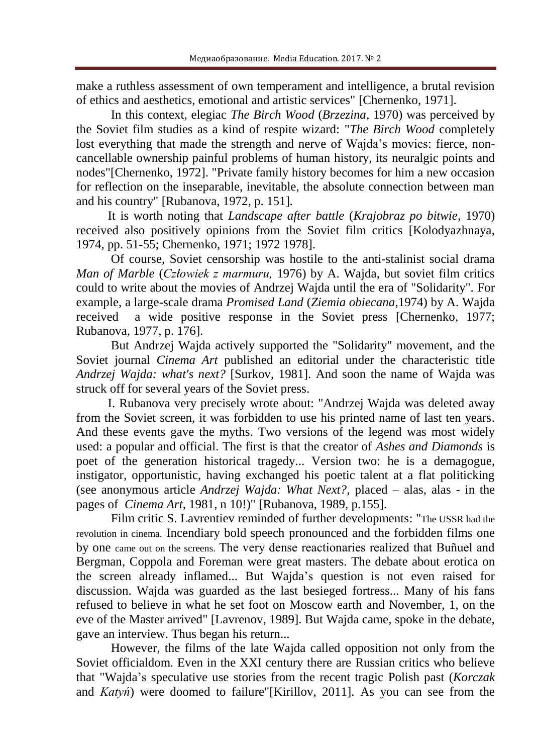make a ruthless assessment of own temperament and intelligence, a brutal revision of ethics and aesthetics, emotional and artistic services" [Chernenko, 1971].

In this context, elegiac *The Birch Wood* (*Brzezina,* 1970) was perceived by the Soviet film studies as a kind of respite wizard: "*The Birch Wood* completely lost everything that made the strength and nerve of Wajda's movies: fierce, noncancellable ownership painful problems of human history, its neuralgic points and nodes"[Chernenko, 1972]. "Private family history becomes for him a new occasion for reflection on the inseparable, inevitable, the absolute connection between man and his country" [Rubanova, 1972, p. 151].

It is worth noting that *Landscape after battle* (*Krajobraz po bitwie*, 1970) received also positively opinions from the Soviet film critics [Kolodyazhnaya, 1974, pp. 51-55; Chernenko, 1971; 1972 1978].

Of course, Soviet censorship was hostile to the anti-stalinist social drama *Man of Marble* (*Człowiek z marmuru,* 1976) by A. Wajda, but soviet film critics could to write about the movies of Andrzej Wajda until the era of "Solidarity". For example, a large-scale drama *Promised Land* (*Ziemia obiecana*,1974) by A. Wajda received a wide positive response in the Soviet press [Chernenko, 1977; Rubanova, 1977, p. 176].

But Andrzej Wajda actively supported the "Solidarity" movement, and the Soviet journal *Cinema Art* published an editorial under the characteristic title *Andrzej Wajda: what's next?* [Surkov, 1981]. And soon the name of Wajda was struck off for several years of the Soviet press.

I. Rubanova very precisely wrote about: "Andrzej Wajda was deleted away from the Soviet screen, it was forbidden to use his printed name of last ten years. And these events gave the myths. Two versions of the legend was most widely used: a popular and official. The first is that the creator of *Ashes and Diamonds* is poet of the generation historical tragedy... Version two: he is a demagogue, instigator, opportunistic, having exchanged his poetic talent at a flat politicking (see anonymous article *Andrzej Wajda: What Next?,* placed – alas, alas - in the pages of *Cinema Art,* 1981, n 10!)" [Rubanova, 1989, p.155].

Film critic S. Lavrentiev reminded of further developments: "The USSR had the revolution in cinema. Incendiary bold speech pronounced and the forbidden films one by one came out on the screens. The very dense reactionaries realized that Buñuel and Bergman, Coppola and Foreman were great masters. The debate about erotica on the screen already inflamed... But Wajda's question is not even raised for discussion. Wajda was guarded as the last besieged fortress... Many of his fans refused to believe in what he set foot on Moscow earth and November, 1, on the eve of the Master arrived" [Lavrenov, 1989]. But Wajda came, spoke in the debate, gave an interview. Thus began his return...

However, the films of the late Wajda called opposition not only from the Soviet officialdom. Even in the XXI century there are Russian critics who believe that "Wajda's speculative use stories from the recent tragic Polish past (*Korczak*  and *Katyń*) were doomed to failure"[Kirillov, 2011]. As you can see from the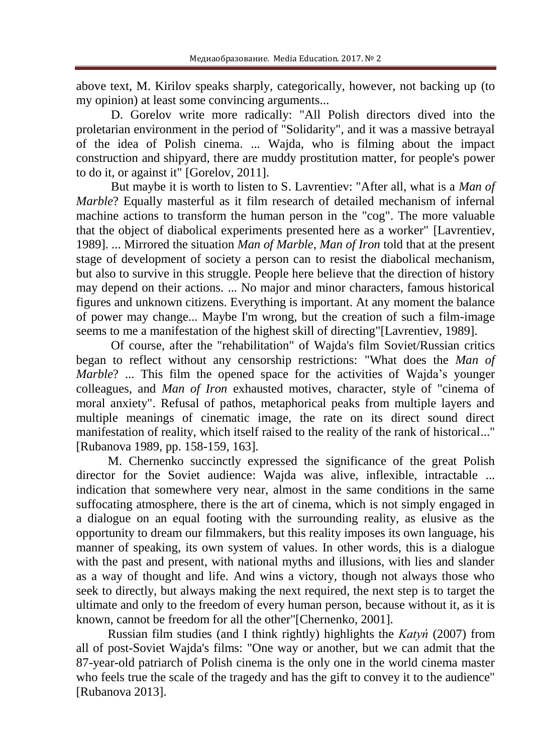above text, M. Kirilov speaks sharply, categorically, however, not backing up (to my opinion) at least some convincing arguments...

D. Gorelov write more radically: "All Polish directors dived into the proletarian environment in the period of "Solidarity", and it was a massive betrayal of the idea of Polish cinema. ... Wajda, who is filming about the impact construction and shipyard, there are muddy prostitution matter, for people's power to do it, or against it" [Gorelov, 2011].

But maybe it is worth to listen to S. Lavrentiev: "After all, what is a *Man of Marble*? Equally masterful as it film research of detailed mechanism of infernal machine actions to transform the human person in the "cog". The more valuable that the object of diabolical experiments presented here as a worker" [Lavrentiev, 1989]. ... Mirrored the situation *Man of Marble*, *Man of Iron* told that at the present stage of development of society a person can to resist the diabolical mechanism, but also to survive in this struggle. People here believe that the direction of history may depend on their actions. ... No major and minor characters, famous historical figures and unknown citizens. Everything is important. At any moment the balance of power may change... Maybe I'm wrong, but the creation of such a film-image seems to me a manifestation of the highest skill of directing"[Lavrentiev, 1989].

Of course, after the "rehabilitation" of Wajda's film Soviet/Russian critics began to reflect without any censorship restrictions: "What does the *Man of Marble*? ... This film the opened space for the activities of Wajda's younger colleagues, and *Man of Iron* exhausted motives, character, style of "cinema of moral anxiety". Refusal of pathos, metaphorical peaks from multiple layers and multiple meanings of cinematic image, the rate on its direct sound direct manifestation of reality, which itself raised to the reality of the rank of historical..." [Rubanova 1989, pp. 158-159, 163].

M. Chernenko succinctly expressed the significance of the great Polish director for the Soviet audience: Wajda was alive, inflexible, intractable ... indication that somewhere very near, almost in the same conditions in the same suffocating atmosphere, there is the art of cinema, which is not simply engaged in a dialogue on an equal footing with the surrounding reality, as elusive as the opportunity to dream our filmmakers, but this reality imposes its own language, his manner of speaking, its own system of values. In other words, this is a dialogue with the past and present, with national myths and illusions, with lies and slander as a way of thought and life. And wins a victory, though not always those who seek to directly, but always making the next required, the next step is to target the ultimate and only to the freedom of every human person, because without it, as it is known, cannot be freedom for all the other"[Chernenko, 2001].

Russian film studies (and I think rightly) highlights the *Katyń* (2007) from all of post-Soviet Wajda's films: "One way or another, but we can admit that the 87-year-old patriarch of Polish cinema is the only one in the world cinema master who feels true the scale of the tragedy and has the gift to convey it to the audience" [Rubanova 2013].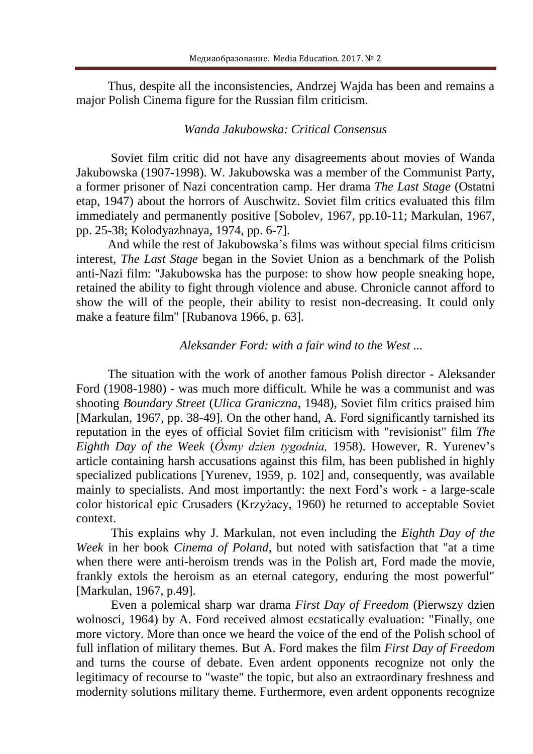Thus, despite all the inconsistencies, Andrzej Wajda has been and remains a major Polish Cinema figure for the Russian film criticism.

### *Wanda Jakubowska: Critical Consensus*

Soviet film critic did not have any disagreements about movies of Wanda Jakubowska (1907-1998). W. Jakubowska was a member of the Communist Party, a former prisoner of Nazi concentration camp. Her drama *The Last Stage* (Ostatni etap, 1947) about the horrors of Auschwitz. Soviet film critics evaluated this film immediately and permanently positive [Sobolev, 1967, pp.10-11; Markulan, 1967, pp. 25-38; Kolodyazhnaya, 1974, pp. 6-7].

And while the rest of Jakubowska's films was without special films criticism interest, *The Last Stage* began in the Soviet Union as a benchmark of the Polish anti-Nazi film: "Jakubowska has the purpose: to show how people sneaking hope, retained the ability to fight through violence and abuse. Chronicle cannot afford to show the will of the people, their ability to resist non-decreasing. It could only make a feature film" [Rubanova 1966, p. 63].

## *Aleksander Ford: with a fair wind to the West ...*

The situation with the work of another famous Polish director - Aleksander Ford (1908-1980) - was much more difficult. While he was a communist and was shooting *Boundary Street* (*Ulica Graniczna*, 1948), Soviet film critics praised him [Markulan, 1967, pp. 38-49]. On the other hand, A. Ford significantly tarnished its reputation in the eyes of official Soviet film criticism with "revisionist" film *The Eighth Day of the Week* (*Ósmy dzien tygodnia,* 1958). However, R. Yurenev's article containing harsh accusations against this film, has been published in highly specialized publications [Yurenev, 1959, p. 102] and, consequently, was available mainly to specialists. And most importantly: the next Ford's work - a large-scale color historical epic Crusaders (Krzyżacy, 1960) he returned to acceptable Soviet context.

This explains why J. Markulan, not even including the *Eighth Day of the Week* in her book *Cinema of Poland*, but noted with satisfaction that "at a time when there were anti-heroism trends was in the Polish art, Ford made the movie, frankly extols the heroism as an eternal category, enduring the most powerful" [Markulan, 1967, p.49].

Even a polemical sharp war drama *First Day of Freedom* (Pierwszy dzien wolnosci, 1964) by A. Ford received almost ecstatically evaluation: "Finally, one more victory. More than once we heard the voice of the end of the Polish school of full inflation of military themes. But A. Ford makes the film *First Day of Freedom* and turns the course of debate. Even ardent opponents recognize not only the legitimacy of recourse to "waste" the topic, but also an extraordinary freshness and modernity solutions military theme. Furthermore, even ardent opponents recognize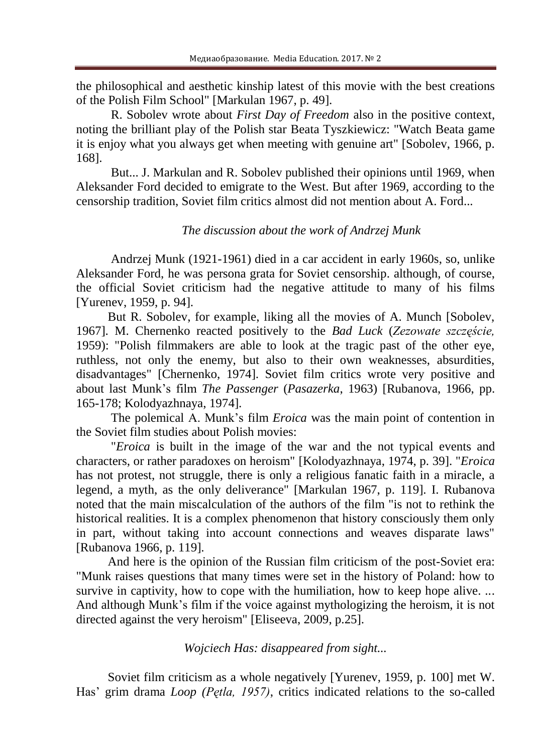the philosophical and aesthetic kinship latest of this movie with the best creations of the Polish Film School" [Markulan 1967, p. 49].

R. Sobolev wrote about *First Day of Freedom* also in the positive context, noting the brilliant play of the Polish star Beata Tyszkiewicz: "Watch Beata game it is enjoy what you always get when meeting with genuine art" [Sobolev, 1966, p. 168].

But... J. Markulan and R. Sobolev published their opinions until 1969, when Aleksander Ford decided to emigrate to the West. But after 1969, according to the censorship tradition, Soviet film critics almost did not mention about A. Ford...

## *The discussion about the work of Andrzej Munk*

Andrzej Munk (1921-1961) died in a car accident in early 1960s, so, unlike Aleksander Ford, he was persona grata for Soviet censorship. although, of course, the official Soviet criticism had the negative attitude to many of his films [Yurenev, 1959, p. 94].

But R. Sobolev, for example, liking all the movies of A. Munch [Sobolev, 1967]. M. Chernenko reacted positively to the *Bad Luck* (*Zezowate szczęście,* 1959): "Polish filmmakers are able to look at the tragic past of the other eye, ruthless, not only the enemy, but also to their own weaknesses, absurdities, disadvantages" [Chernenko, 1974]. Soviet film critics wrote very positive and about last Munk's film *The Passenger* (*Pasazerka*, 1963) [Rubanova, 1966, pp. 165-178; Kolodyazhnaya, 1974].

The polemical A. Munk's film *Eroica* was the main point of contention in the Soviet film studies about Polish movies:

"*Eroica* is built in the image of the war and the not typical events and characters, or rather paradoxes on heroism" [Kolodyazhnaya, 1974, p. 39]. "*Eroica* has not protest, not struggle, there is only a religious fanatic faith in a miracle, a legend, a myth, as the only deliverance" [Markulan 1967, p. 119]. I. Rubanova noted that the main miscalculation of the authors of the film "is not to rethink the historical realities. It is a complex phenomenon that history consciously them only in part, without taking into account connections and weaves disparate laws" [Rubanova 1966, p. 119].

And here is the opinion of the Russian film criticism of the post-Soviet era: "Munk raises questions that many times were set in the history of Poland: how to survive in captivity, how to cope with the humiliation, how to keep hope alive... And although Munk's film if the voice against mythologizing the heroism, it is not directed against the very heroism" [Eliseeva, 2009, p.25].

## *Wojciech Has: disappeared from sight...*

Soviet film criticism as a whole negatively [Yurenev, 1959, p. 100] met W. Has' grim drama *Loop (Pętla, 1957)*, critics indicated relations to the so-called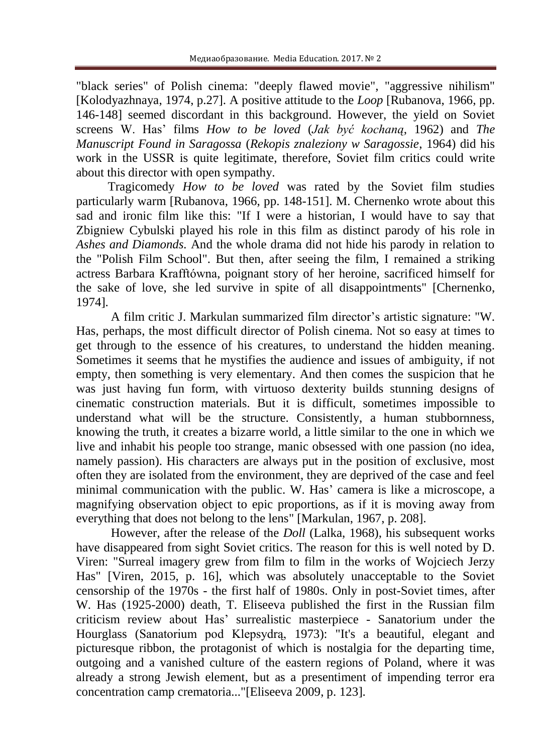"black series" of Polish cinema: "deeply flawed movie", "aggressive nihilism" [Kolodyazhnaya, 1974, p.27]. A positive attitude to the *Loop* [Rubanova, 1966, pp. 146-148] seemed discordant in this background. However, the yield on Soviet screens W. Has' films *How to be loved* (*Jak być kochaną*, 1962) and *The Manuscript Found in Saragossa* (*Rekopis znaleziony w Saragossie*, 1964) did his work in the USSR is quite legitimate, therefore, Soviet film critics could write about this director with open sympathy.

Tragicomedy *How to be loved* was rated by the Soviet film studies particularly warm [Rubanova, 1966, pp. 148-151]. M. Chernenko wrote about this sad and ironic film like this: "If I were a historian, I would have to say that Zbigniew Cybulski played his role in this film as distinct parody of his role in *Ashes and Diamonds.* And the whole drama did not hide his parody in relation to the "Polish Film School". But then, after seeing the film, I remained a striking actress Barbara Krafftówna, poignant story of her heroine, sacrificed himself for the sake of love, she led survive in spite of all disappointments" [Chernenko, 1974].

A film critic J. Markulan summarized film director's artistic signature: "W. Has, perhaps, the most difficult director of Polish cinema. Not so easy at times to get through to the essence of his creatures, to understand the hidden meaning. Sometimes it seems that he mystifies the audience and issues of ambiguity, if not empty, then something is very elementary. And then comes the suspicion that he was just having fun form, with virtuoso dexterity builds stunning designs of cinematic construction materials. But it is difficult, sometimes impossible to understand what will be the structure. Consistently, a human stubbornness, knowing the truth, it creates a bizarre world, a little similar to the one in which we live and inhabit his people too strange, manic obsessed with one passion (no idea, namely passion). His characters are always put in the position of exclusive, most often they are isolated from the environment, they are deprived of the case and feel minimal communication with the public. W. Has' camera is like a microscope, a magnifying observation object to epic proportions, as if it is moving away from everything that does not belong to the lens" [Markulan, 1967, p. 208].

However, after the release of the *Doll* (Lalka, 1968), his subsequent works have disappeared from sight Soviet critics. The reason for this is well noted by D. Viren: "Surreal imagery grew from film to film in the works of Wojciech Jerzy Has" [Viren, 2015, p. 16], which was absolutely unacceptable to the Soviet censorship of the 1970s - the first half of 1980s. Only in post-Soviet times, after W. Has (1925-2000) death, T. Eliseeva published the first in the Russian film criticism review about Has' surrealistic masterpiece - Sanatorium under the Hourglass (Sanatorium pod Klepsydrą, 1973): "It's a beautiful, elegant and picturesque ribbon, the protagonist of which is nostalgia for the departing time, outgoing and a vanished culture of the eastern regions of Poland, where it was already a strong Jewish element, but as a presentiment of impending terror era concentration camp crematoria..."[Eliseeva 2009, p. 123].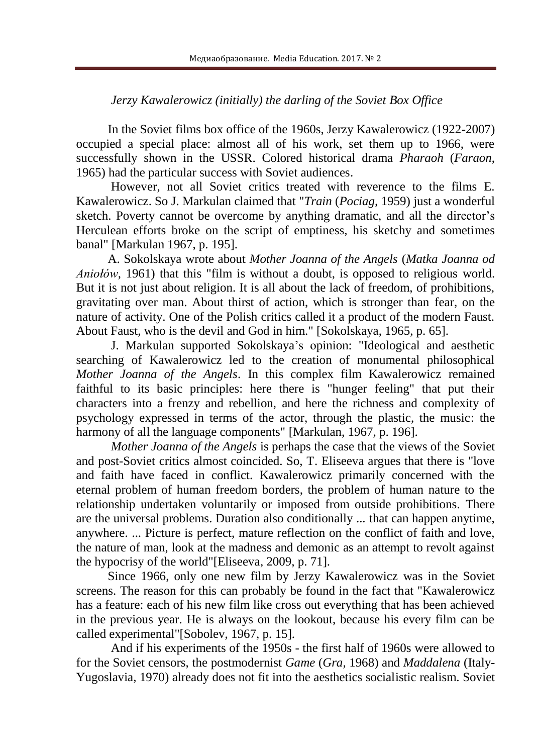# *Jerzy Kawalerowicz (initially) the darling of the Soviet Box Office*

In the Soviet films box office of the 1960s, Jerzy Kawalerowicz (1922-2007) occupied a special place: almost all of his work, set them up to 1966, were successfully shown in the USSR. Colored historical drama *Pharaoh* (*Faraon*, 1965) had the particular success with Soviet audiences.

However, not all Soviet critics treated with reverence to the films E. Kawalerowicz. So J. Markulan claimed that "*Train* (*Pociag,* 1959) just a wonderful sketch. Poverty cannot be overcome by anything dramatic, and all the director's Herculean efforts broke on the script of emptiness, his sketchy and sometimes banal" [Markulan 1967, p. 195].

A. Sokolskaya wrote about *Mother Joanna of the Angels* (*Matka Joanna od Aniołów,* 1961) that this "film is without a doubt, is opposed to religious world. But it is not just about religion. It is all about the lack of freedom, of prohibitions, gravitating over man. About thirst of action, which is stronger than fear, on the nature of activity. One of the Polish critics called it a product of the modern Faust. About Faust, who is the devil and God in him." [Sokolskaya, 1965, p. 65].

J. Markulan supported Sokolskaya's opinion: "Ideological and aesthetic searching of Kawalerowicz led to the creation of monumental philosophical *Mother Joanna of the Angels*. In this complex film Kawalerowicz remained faithful to its basic principles: here there is "hunger feeling" that put their characters into a frenzy and rebellion, and here the richness and complexity of psychology expressed in terms of the actor, through the plastic, the music: the harmony of all the language components" [Markulan, 1967, p. 196].

*Mother Joanna of the Angels* is perhaps the case that the views of the Soviet and post-Soviet critics almost coincided. So, T. Eliseeva argues that there is "love and faith have faced in conflict. Kawalerowicz primarily concerned with the eternal problem of human freedom borders, the problem of human nature to the relationship undertaken voluntarily or imposed from outside prohibitions. There are the universal problems. Duration also conditionally ... that can happen anytime, anywhere. ... Picture is perfect, mature reflection on the conflict of faith and love, the nature of man, look at the madness and demonic as an attempt to revolt against the hypocrisy of the world"[Eliseeva, 2009, p. 71].

Since 1966, only one new film by Jerzy Kawalerowicz was in the Soviet screens. The reason for this can probably be found in the fact that "Kawalerowicz has a feature: each of his new film like cross out everything that has been achieved in the previous year. He is always on the lookout, because his every film can be called experimental"[Sobolev, 1967, p. 15].

And if his experiments of the 1950s - the first half of 1960s were allowed to for the Soviet censors, the postmodernist *Game* (*Gra,* 1968) and *Maddalena* (Italy-Yugoslavia, 1970) already does not fit into the aesthetics socialistic realism. Soviet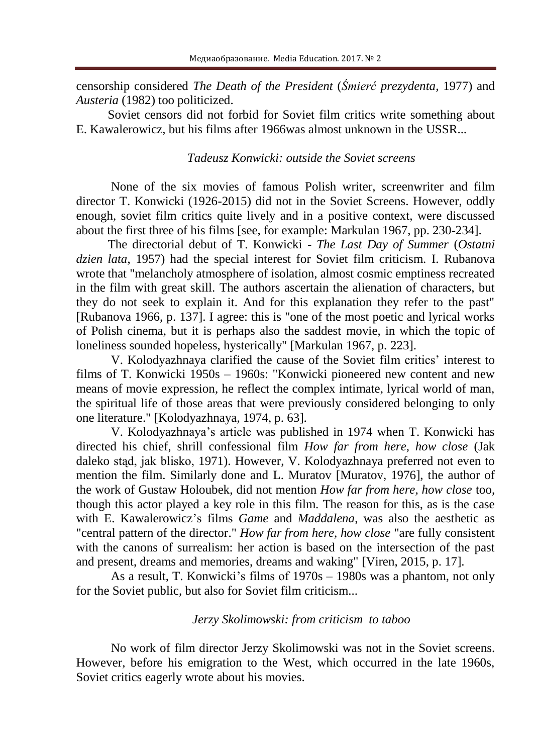censorship considered *The Death of the President* (*Śmierć prezydenta,* 1977) and *Austeria* (1982) too politicized.

Soviet censors did not forbid for Soviet film critics write something about E. Kawalerowicz, but his films after 1966was almost unknown in the USSR...

### *Tadeusz Konwicki: outside the Soviet screens*

None of the six movies of famous Polish writer, screenwriter and film director T. Konwicki (1926-2015) did not in the Soviet Screens. However, oddly enough, soviet film critics quite lively and in a positive context, were discussed about the first three of his films [see, for example: Markulan 1967, pp. 230-234].

The directorial debut of T. Konwicki - *The Last Day of Summer* (*Ostatni dzien lata*, 1957) had the special interest for Soviet film criticism. I. Rubanova wrote that "melancholy atmosphere of isolation, almost cosmic emptiness recreated in the film with great skill. The authors ascertain the alienation of characters, but they do not seek to explain it. And for this explanation they refer to the past" [Rubanova 1966, p. 137]. I agree: this is "one of the most poetic and lyrical works of Polish cinema, but it is perhaps also the saddest movie, in which the topic of loneliness sounded hopeless, hysterically" [Markulan 1967, p. 223].

V. Kolodyazhnaya clarified the cause of the Soviet film critics' interest to films of T. Konwicki 1950s – 1960s: "Konwicki pioneered new content and new means of movie expression, he reflect the complex intimate, lyrical world of man, the spiritual life of those areas that were previously considered belonging to only one literature." [Kolodyazhnaya, 1974, p. 63].

V. Kolodyazhnaya's article was published in 1974 when T. Konwicki has directed his chief, shrill confessional film *How far from here, how close* (Jak daleko stąd, jak blisko, 1971). However, V. Kolodyazhnaya preferred not even to mention the film. Similarly done and L. Muratov [Muratov, 1976], the author of the work of Gustaw Holoubek, did not mention *How far from here, how close* too, though this actor played a key role in this film. The reason for this, as is the case with E. Kawalerowicz's films *Game* and *Maddalena*, was also the aesthetic as "central pattern of the director." *How far from here, how close* "are fully consistent with the canons of surrealism: her action is based on the intersection of the past and present, dreams and memories, dreams and waking" [Viren, 2015, p. 17].

As a result, T. Konwicki's films of 1970s – 1980s was a phantom, not only for the Soviet public, but also for Soviet film criticism...

#### *Jerzy Skolimowski: from criticism to taboo*

No work of film director Jerzy Skolimowski was not in the Soviet screens. However, before his emigration to the West, which occurred in the late 1960s, Soviet critics eagerly wrote about his movies.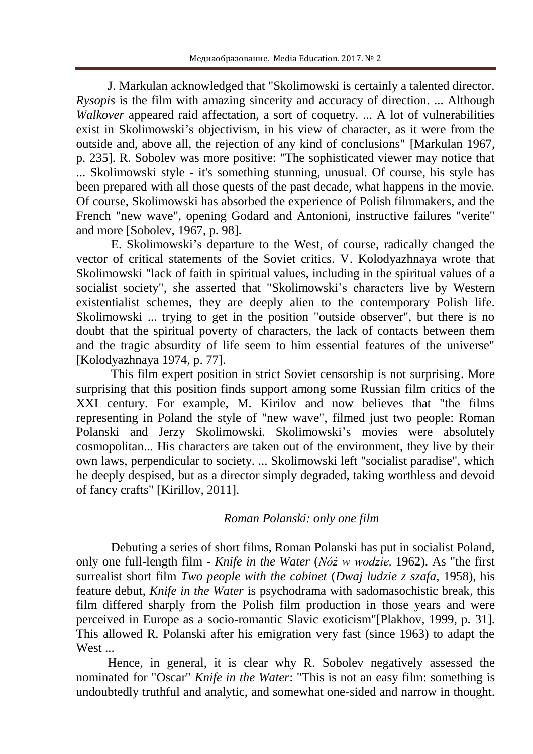J. Markulan acknowledged that "Skolimowski is certainly a talented director. *Rysopis* is the film with amazing sincerity and accuracy of direction. ... Although *Walkover* appeared raid affectation, a sort of coquetry. ... A lot of vulnerabilities exist in Skolimowski's objectivism, in his view of character, as it were from the outside and, above all, the rejection of any kind of conclusions" [Markulan 1967, p. 235]. R. Sobolev was more positive: "The sophisticated viewer may notice that ... Skolimowski style - it's something stunning, unusual. Of course, his style has been prepared with all those quests of the past decade, what happens in the movie. Of course, Skolimowski has absorbed the experience of Polish filmmakers, and the French "new wave", opening Godard and Antonioni, instructive failures "verite" and more [Sobolev, 1967, p. 98].

E. Skolimowski's departure to the West, of course, radically changed the vector of critical statements of the Soviet critics. V. Kolodyazhnaya wrote that Skolimowski "lack of faith in spiritual values, including in the spiritual values of a socialist society", she asserted that "Skolimowski's characters live by Western existentialist schemes, they are deeply alien to the contemporary Polish life. Skolimowski ... trying to get in the position "outside observer", but there is no doubt that the spiritual poverty of characters, the lack of contacts between them and the tragic absurdity of life seem to him essential features of the universe" [Kolodyazhnaya 1974, p. 77].

This film expert position in strict Soviet censorship is not surprising. More surprising that this position finds support among some Russian film critics of the XXI century. For example, M. Kirilov and now believes that "the films representing in Poland the style of "new wave", filmed just two people: Roman Polanski and Jerzy Skolimowski. Skolimowski's movies were absolutely cosmopolitan... His characters are taken out of the environment, they live by their own laws, perpendicular to society. ... Skolimowski left "socialist paradise", which he deeply despised, but as a director simply degraded, taking worthless and devoid of fancy crafts" [Kirillov, 2011].

## *Roman Polanski: only one film*

Debuting a series of short films, Roman Polanski has put in socialist Poland, only one full-length film - *Knife in the Water* (*Nóż w wodzie,* 1962). As "the first surrealist short film *Two people with the cabinet* (*Dwaj ludzie z szafa,* 1958), his feature debut, *Knife in the Water* is psychodrama with sadomasochistic break, this film differed sharply from the Polish film production in those years and were perceived in Europe as a socio-romantic Slavic exoticism"[Plakhov, 1999, p. 31]. This allowed R. Polanski after his emigration very fast (since 1963) to adapt the West ...

Hence, in general, it is clear why R. Sobolev negatively assessed the nominated for "Oscar" *Knife in the Water*: "This is not an easy film: something is undoubtedly truthful and analytic, and somewhat one-sided and narrow in thought.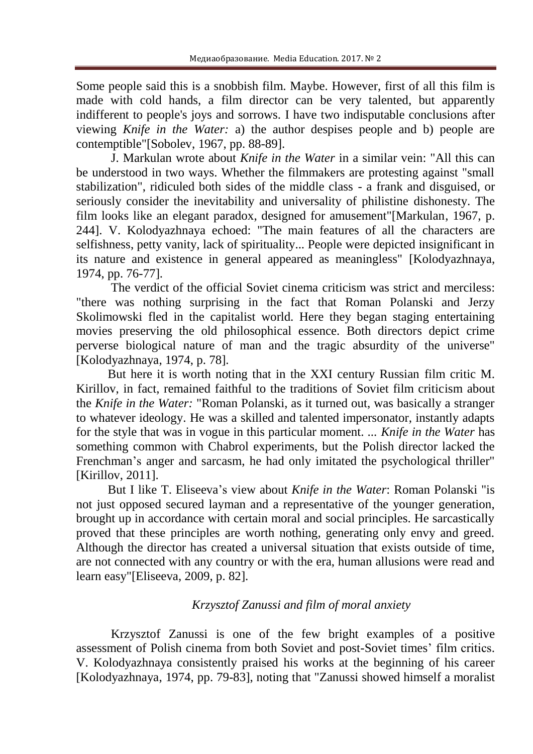Some people said this is a snobbish film. Maybe. However, first of all this film is made with cold hands, a film director can be very talented, but apparently indifferent to people's joys and sorrows. I have two indisputable conclusions after viewing *Knife in the Water:* a) the author despises people and b) people are contemptible"[Sobolev, 1967, pp. 88-89].

J. Markulan wrote about *Knife in the Water* in a similar vein: "All this can be understood in two ways. Whether the filmmakers are protesting against "small stabilization", ridiculed both sides of the middle class - a frank and disguised, or seriously consider the inevitability and universality of philistine dishonesty. The film looks like an elegant paradox, designed for amusement"[Markulan, 1967, p. 244]. V. Kolodyazhnaya echoed: "The main features of all the characters are selfishness, petty vanity, lack of spirituality... People were depicted insignificant in its nature and existence in general appeared as meaningless" [Kolodyazhnaya, 1974, pp. 76-77].

The verdict of the official Soviet cinema criticism was strict and merciless: "there was nothing surprising in the fact that Roman Polanski and Jerzy Skolimowski fled in the capitalist world. Here they began staging entertaining movies preserving the old philosophical essence. Both directors depict crime perverse biological nature of man and the tragic absurdity of the universe" [Kolodyazhnaya, 1974, p. 78].

But here it is worth noting that in the XXI century Russian film critic M. Kirillov, in fact, remained faithful to the traditions of Soviet film criticism about the *Knife in the Water:* "Roman Polanski, as it turned out, was basically a stranger to whatever ideology. He was a skilled and talented impersonator, instantly adapts for the style that was in vogue in this particular moment. ... *Knife in the Water* has something common with Chabrol experiments, but the Polish director lacked the Frenchman's anger and sarcasm, he had only imitated the psychological thriller" [Kirillov, 2011].

But I like T. Eliseeva's view about *Knife in the Water*: Roman Polanski "is not just opposed secured layman and a representative of the younger generation, brought up in accordance with certain moral and social principles. He sarcastically proved that these principles are worth nothing, generating only envy and greed. Although the director has created a universal situation that exists outside of time, are not connected with any country or with the era, human allusions were read and learn easy"[Eliseeva, 2009, p. 82].

# *Krzysztof Zanussi and film of moral anxiety*

Krzysztof Zanussi is one of the few bright examples of a positive assessment of Polish cinema from both Soviet and post-Soviet times' film critics. V. Kolodyazhnaya consistently praised his works at the beginning of his career [Kolodyazhnaya, 1974, pp. 79-83], noting that "Zanussi showed himself a moralist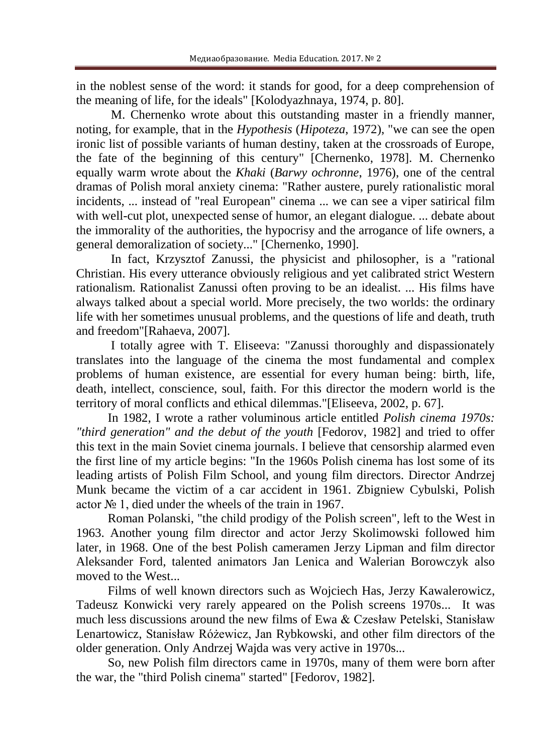in the noblest sense of the word: it stands for good, for a deep comprehension of the meaning of life, for the ideals" [Kolodyazhnaya, 1974, p. 80].

M. Chernenko wrote about this outstanding master in a friendly manner, noting, for example, that in the *Hypothesis* (*Hipoteza*, 1972), "we can see the open ironic list of possible variants of human destiny, taken at the crossroads of Europe, the fate of the beginning of this century" [Chernenko, 1978]. M. Chernenko equally warm wrote about the *Khaki* (*Barwy ochronne*, 1976), one of the central dramas of Polish moral anxiety cinema: "Rather austere, purely rationalistic moral incidents, ... instead of "real European" cinema ... we can see a viper satirical film with well-cut plot, unexpected sense of humor, an elegant dialogue. ... debate about the immorality of the authorities, the hypocrisy and the arrogance of life owners, a general demoralization of society..." [Chernenko, 1990].

In fact, Krzysztof Zanussi, the physicist and philosopher, is a "rational Christian. His every utterance obviously religious and yet calibrated strict Western rationalism. Rationalist Zanussi often proving to be an idealist. ... His films have always talked about a special world. More precisely, the two worlds: the ordinary life with her sometimes unusual problems, and the questions of life and death, truth and freedom"[Rahaeva, 2007].

I totally agree with T. Eliseeva: "Zanussi thoroughly and dispassionately translates into the language of the cinema the most fundamental and complex problems of human existence, are essential for every human being: birth, life, death, intellect, conscience, soul, faith. For this director the modern world is the territory of moral conflicts and ethical dilemmas."[Eliseeva, 2002, p. 67].

In 1982, I wrote a rather voluminous article entitled *Polish cinema 1970s: "third generation" and the debut of the youth* [Fedorov, 1982] and tried to offer this text in the main Soviet cinema journals. I believe that censorship alarmed even the first line of my article begins: "In the 1960s Polish cinema has lost some of its leading artists of Polish Film School, and young film directors. Director Andrzej Munk became the victim of a car accident in 1961. Zbigniew Cybulski, Polish actor № 1, died under the wheels of the train in 1967.

Roman Polanski, "the child prodigy of the Polish screen", left to the West in 1963. Another young film director and actor Jerzy Skolimowski followed him later, in 1968. One of the best Polish cameramen Jerzy Lipman and film director Aleksander Ford, talented animators Jan Lenica and Walerian Borowczyk also moved to the West...

Films of well known directors such as Wojciech Has, Jerzy Kawalerowicz, Tadeusz Konwicki very rarely appeared on the Polish screens 1970s... It was much less discussions around the new films of Ewa & Czesław Petelski, Stanisław Lenartowicz, Stanisław Różewicz, Jan Rybkowski, and other film directors of the older generation. Only Andrzej Wajda was very active in 1970s...

So, new Polish film directors came in 1970s, many of them were born after the war, the "third Polish cinema" started" [Fedorov, 1982].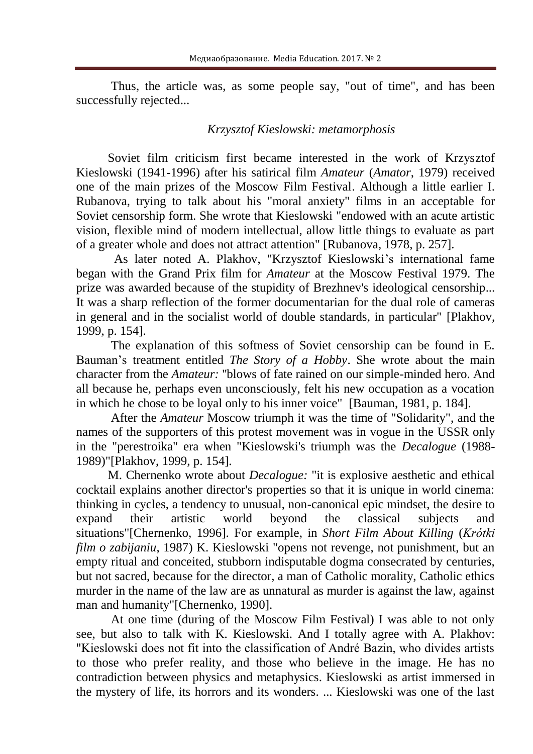Thus, the article was, as some people say, "out of time", and has been successfully rejected...

# *Krzysztof Kieslowski: metamorphosis*

Soviet film criticism first became interested in the work of Krzysztof Kieslowski (1941-1996) after his satirical film *Amateur* (*Amator*, 1979) received one of the main prizes of the Moscow Film Festival. Although a little earlier I. Rubanova, trying to talk about his "moral anxiety" films in an acceptable for Soviet censorship form. She wrote that Kieslowski "endowed with an acute artistic vision, flexible mind of modern intellectual, allow little things to evaluate as part of a greater whole and does not attract attention" [Rubanova, 1978, p. 257].

As later noted A. Plakhov, "Krzysztof Kieslowski's international fame began with the Grand Prix film for *Amateur* at the Moscow Festival 1979. The prize was awarded because of the stupidity of Brezhnev's ideological censorship... It was a sharp reflection of the former documentarian for the dual role of cameras in general and in the socialist world of double standards, in particular" [Plakhov, 1999, p. 154].

The explanation of this softness of Soviet censorship can be found in E. Bauman's treatment entitled *The Story of a Hobby*. She wrote about the main character from the *Amateur:* ''blows of fate rained on our simple-minded hero. And all because he, perhaps even unconsciously, felt his new occupation as a vocation in which he chose to be loyal only to his inner voice" [Bauman, 1981, p. 184].

After the *Amateur* Moscow triumph it was the time of "Solidarity", and the names of the supporters of this protest movement was in vogue in the USSR only in the "perestroika" era when "Kieslowski's triumph was the *Decalogue* (1988- 1989)"[Plakhov, 1999, p. 154].

M. Chernenko wrote about *Decalogue:* "it is explosive aesthetic and ethical cocktail explains another director's properties so that it is unique in world cinema: thinking in cycles, a tendency to unusual, non-canonical epic mindset, the desire to expand their artistic world beyond the classical subjects and situations"[Chernenko, 1996]. For example, in *Short Film About Killing* (*Krótki film o zabijaniu*, 1987) K. Kieslowski "opens not revenge, not punishment, but an empty ritual and conceited, stubborn indisputable dogma consecrated by centuries, but not sacred, because for the director, a man of Catholic morality, Catholic ethics murder in the name of the law are as unnatural as murder is against the law, against man and humanity"[Chernenko, 1990].

At one time (during of the Moscow Film Festival) I was able to not only see, but also to talk with K. Kieslowski. And I totally agree with A. Plakhov: "Kieslowski does not fit into the classification of André Bazin, who divides artists to those who prefer reality, and those who believe in the image. He has no contradiction between physics and metaphysics. Kieslowski as artist immersed in the mystery of life, its horrors and its wonders. ... Kieslowski was one of the last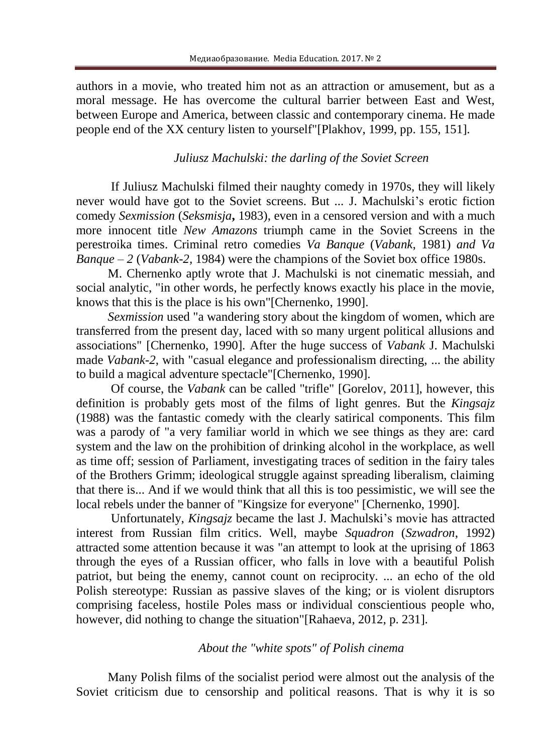authors in a movie, who treated him not as an attraction or amusement, but as a moral message. He has overcome the cultural barrier between East and West, between Europe and America, between classic and contemporary cinema. He made people end of the XX century listen to yourself"[Plakhov, 1999, pp. 155, 151].

# *Juliusz Machulski: the darling of the Soviet Screen*

If Juliusz Machulski filmed their naughty comedy in 1970s, they will likely never would have got to the Soviet screens. But ... J. Machulski's erotic fiction comedy *Sexmission* (*Seksmisja***,** 1983), even in a censored version and with a much more innocent title *New Amazons* triumph came in the Soviet Screens in the perestroika times. Criminal retro comedies *Va Banque* (*Vabank,* 1981) *and Va Banque – 2* (*Vabank-2,* 1984) were the champions of the Soviet box office 1980s.

M. Chernenko aptly wrote that J. Machulski is not cinematic messiah, and social analytic, "in other words, he perfectly knows exactly his place in the movie, knows that this is the place is his own"[Chernenko, 1990].

*Sexmission* used "a wandering story about the kingdom of women, which are transferred from the present day, laced with so many urgent political allusions and associations" [Chernenko, 1990]. After the huge success of *Vabank* J. Machulski made *Vabank-2*, with "casual elegance and professionalism directing, ... the ability to build a magical adventure spectacle"[Chernenko, 1990].

Of course, the *Vabank* can be called "trifle" [Gorelov, 2011], however, this definition is probably gets most of the films of light genres. But the *Kingsajz* (1988) was the fantastic comedy with the clearly satirical components. This film was a parody of "a very familiar world in which we see things as they are: card system and the law on the prohibition of drinking alcohol in the workplace, as well as time off; session of Parliament, investigating traces of sedition in the fairy tales of the Brothers Grimm; ideological struggle against spreading liberalism, claiming that there is... And if we would think that all this is too pessimistic, we will see the local rebels under the banner of "Kingsize for everyone" [Chernenko, 1990].

Unfortunately, *Kingsajz* became the last J. Machulski's movie has attracted interest from Russian film critics. Well, maybe *Squadron* (*Szwadron*, 1992) attracted some attention because it was "an attempt to look at the uprising of 1863 through the eyes of a Russian officer, who falls in love with a beautiful Polish patriot, but being the enemy, cannot count on reciprocity. ... an echo of the old Polish stereotype: Russian as passive slaves of the king; or is violent disruptors comprising faceless, hostile Poles mass or individual conscientious people who, however, did nothing to change the situation"[Rahaeva, 2012, p. 231].

## *About the "white spots" of Polish cinema*

Many Polish films of the socialist period were almost out the analysis of the Soviet criticism due to censorship and political reasons. That is why it is so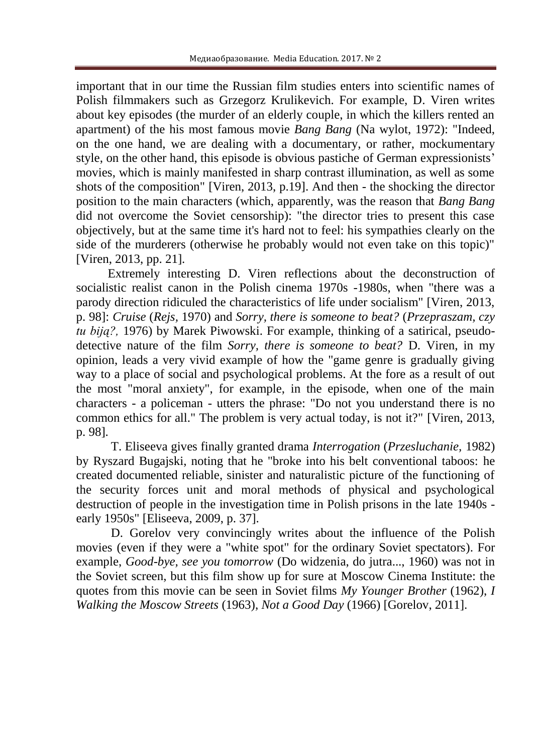important that in our time the Russian film studies enters into scientific names of Polish filmmakers such as Grzegorz Krulikevich. For example, D. Viren writes about key episodes (the murder of an elderly couple, in which the killers rented an apartment) of the his most famous movie *Bang Bang* (Na wylot, 1972): "Indeed, on the one hand, we are dealing with a documentary, or rather, mockumentary style, on the other hand, this episode is obvious pastiche of German expressionists' movies, which is mainly manifested in sharp contrast illumination, as well as some shots of the composition" [Viren, 2013, p.19]. And then - the shocking the director position to the main characters (which, apparently, was the reason that *Bang Bang* did not overcome the Soviet censorship): "the director tries to present this case objectively, but at the same time it's hard not to feel: his sympathies clearly on the side of the murderers (otherwise he probably would not even take on this topic)" [Viren, 2013, pp. 21].

Extremely interesting D. Viren reflections about the deconstruction of socialistic realist canon in the Polish cinema 1970s -1980s, when "there was a parody direction ridiculed the characteristics of life under socialism" [Viren, 2013, p. 98]: *Cruise* (*Rejs,* 1970) and *Sorry, there is someone to beat?* (*Przepraszam, czy tu biją?,* 1976) by Marek Piwowski. For example, thinking of a satirical, pseudodetective nature of the film *Sorry, there is someone to beat?* D. Viren, in my opinion, leads a very vivid example of how the "game genre is gradually giving way to a place of social and psychological problems. At the fore as a result of out the most "moral anxiety", for example, in the episode, when one of the main characters - a policeman - utters the phrase: "Do not you understand there is no common ethics for all." The problem is very actual today, is not it?" [Viren, 2013, p. 98].

T. Eliseeva gives finally granted drama *Interrogation* (*Przesluchanie,* 1982) by Ryszard Bugajski, noting that he "broke into his belt conventional taboos: he created documented reliable, sinister and naturalistic picture of the functioning of the security forces unit and moral methods of physical and psychological destruction of people in the investigation time in Polish prisons in the late 1940s early 1950s" [Eliseeva, 2009, p. 37].

D. Gorelov very convincingly writes about the influence of the Polish movies (even if they were a "white spot" for the ordinary Soviet spectators). For example, *Good-bye, see you tomorrow* (Do widzenia, do jutra..., 1960) was not in the Soviet screen, but this film show up for sure at Moscow Cinema Institute: the quotes from this movie can be seen in Soviet films *My Younger Brother* (1962), *I Walking the Moscow Streets* (1963), *Not a Good Day* (1966) [Gorelov, 2011].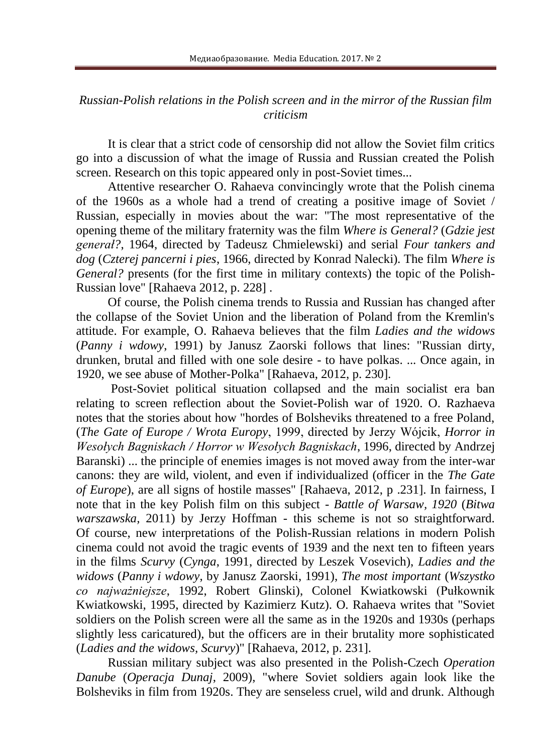## *Russian-Polish relations in the Polish screen and in the mirror of the Russian film criticism*

It is clear that a strict code of censorship did not allow the Soviet film critics go into a discussion of what the image of Russia and Russian created the Polish screen. Research on this topic appeared only in post-Soviet times...

Attentive researcher O. Rahaeva convincingly wrote that the Polish cinema of the 1960s as a whole had a trend of creating a positive image of Soviet / Russian, especially in movies about the war: "The most representative of the opening theme of the military fraternity was the film *Where is General?* (*Gdzie jest generał?*, 1964, directed by Tadeusz Chmielewski) and serial *Four tankers and dog* (*Czterej pancerni i pies*, 1966, directed by Konrad Nalecki). The film *Where is General?* presents (for the first time in military contexts) the topic of the Polish-Russian love" [Rahaeva 2012, p. 228] .

Of course, the Polish cinema trends to Russia and Russian has changed after the collapse of the Soviet Union and the liberation of Poland from the Kremlin's attitude. For example, O. Rahaeva believes that the film *Ladies and the widows* (*Panny i wdowy*, 1991) by Janusz Zaorski follows that lines: "Russian dirty, drunken, brutal and filled with one sole desire - to have polkas. ... Once again, in 1920, we see abuse of Mother-Polka" [Rahaeva, 2012, p. 230].

Post-Soviet political situation collapsed and the main socialist era ban relating to screen reflection about the Soviet-Polish war of 1920. O. Razhaeva notes that the stories about how "hordes of Bolsheviks threatened to a free Poland, (*The Gate of Europe / Wrota Europy*, 1999, directed by Jerzy Wójcik, *Horror in Wesołych Bagniskach / Horror w Wesołych Bagniskach*, 1996, directed by Andrzej Baranski) ... the principle of enemies images is not moved away from the inter-war canons: they are wild, violent, and even if individualized (officer in the *The Gate of Europe*), are all signs of hostile masses" [Rahaeva, 2012, p .231]. In fairness, I note that in the key Polish film on this subject - *Battle of Warsaw, 1920* (*Bitwa warszawska,* 2011) by Jerzy Hoffman - this scheme is not so straightforward. Of course, new interpretations of the Polish-Russian relations in modern Polish cinema could not avoid the tragic events of 1939 and the next ten to fifteen years in the films *Scurvy* (*Cynga*, 1991, directed by Leszek Vosevich), *Ladies and the widows* (*Panny i wdowy*, by Janusz Zaorski, 1991), *The most important* (*Wszystko co najważniejsze*, 1992, Robert Glinski), Colonel Kwiatkowski (Pułkownik Kwiatkowski, 1995, directed by Kazimierz Kutz). O. Rahaeva writes that "Soviet soldiers on the Polish screen were all the same as in the 1920s and 1930s (perhaps slightly less caricatured), but the officers are in their brutality more sophisticated (*Ladies and the widows, Scurvy*)" [Rahaeva, 2012, p. 231].

Russian military subject was also presented in the Polish-Czech *Operation Danube* (*Operacja Dunaj*, 2009), "where Soviet soldiers again look like the Bolsheviks in film from 1920s. They are senseless cruel, wild and drunk. Although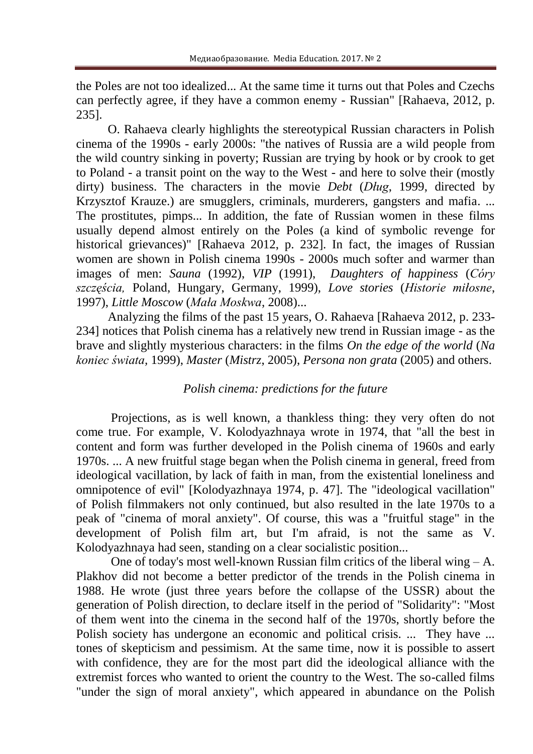the Poles are not too idealized... At the same time it turns out that Poles and Czechs can perfectly agree, if they have a common enemy - Russian" [Rahaeva, 2012, p. 235].

O. Rahaeva clearly highlights the stereotypical Russian characters in Polish cinema of the 1990s - early 2000s: "the natives of Russia are a wild people from the wild country sinking in poverty; Russian are trying by hook or by crook to get to Poland - a transit point on the way to the West - and here to solve their (mostly dirty) business. The characters in the movie *Debt* (*Dług*, 1999, directed by Krzysztof Krauze.) are smugglers, criminals, murderers, gangsters and mafia. ... The prostitutes, pimps... In addition, the fate of Russian women in these films usually depend almost entirely on the Poles (a kind of symbolic revenge for historical grievances)" [Rahaeva 2012, p. 232]. In fact, the images of Russian women are shown in Polish cinema 1990s - 2000s much softer and warmer than images of men: *Sauna* (1992), *VIP* (1991), *Daughters of happiness* (*Córy szczęścia,* Poland, Hungary, Germany, 1999), *Love stories* (*Historie miłosne*, 1997), *Little Moscow* (*Mała Moskwa*, 2008)...

Analyzing the films of the past 15 years, O. Rahaeva [Rahaeva 2012, p. 233- 234] notices that Polish cinema has a relatively new trend in Russian image - as the brave and slightly mysterious characters: in the films *On the edge of the world* (*Na koniec świata,* 1999), *Master* (*Mistrz*, 2005), *Persona non grata* (2005) and others.

### *Polish cinema: predictions for the future*

Projections, as is well known, a thankless thing: they very often do not come true. For example, V. Kolodyazhnaya wrote in 1974, that "all the best in content and form was further developed in the Polish cinema of 1960s and early 1970s. ... A new fruitful stage began when the Polish cinema in general, freed from ideological vacillation, by lack of faith in man, from the existential loneliness and omnipotence of evil" [Kolodyazhnaya 1974, p. 47]. The "ideological vacillation" of Polish filmmakers not only continued, but also resulted in the late 1970s to a peak of "cinema of moral anxiety". Of course, this was a "fruitful stage" in the development of Polish film art, but I'm afraid, is not the same as V. Kolodyazhnaya had seen, standing on a clear socialistic position...

One of today's most well-known Russian film critics of the liberal wing – A. Plakhov did not become a better predictor of the trends in the Polish cinema in 1988. He wrote (just three years before the collapse of the USSR) about the generation of Polish direction, to declare itself in the period of "Solidarity": "Most of them went into the cinema in the second half of the 1970s, shortly before the Polish society has undergone an economic and political crisis. ... They have ... tones of skepticism and pessimism. At the same time, now it is possible to assert with confidence, they are for the most part did the ideological alliance with the extremist forces who wanted to orient the country to the West. The so-called films "under the sign of moral anxiety", which appeared in abundance on the Polish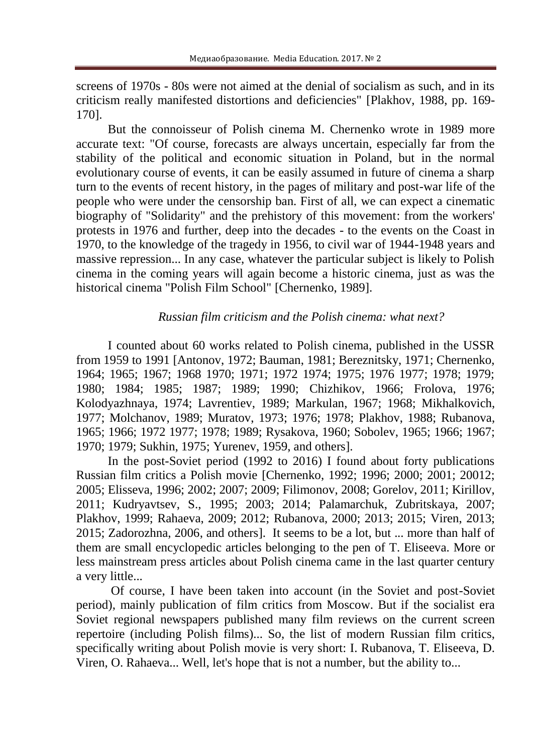screens of 1970s - 80s were not aimed at the denial of socialism as such, and in its criticism really manifested distortions and deficiencies" [Plakhov, 1988, pp. 169- 170].

But the connoisseur of Polish cinema M. Chernenko wrote in 1989 more accurate text: "Of course, forecasts are always uncertain, especially far from the stability of the political and economic situation in Poland, but in the normal evolutionary course of events, it can be easily assumed in future of cinema a sharp turn to the events of recent history, in the pages of military and post-war life of the people who were under the censorship ban. First of all, we can expect a cinematic biography of "Solidarity" and the prehistory of this movement: from the workers' protests in 1976 and further, deep into the decades - to the events on the Coast in 1970, to the knowledge of the tragedy in 1956, to civil war of 1944-1948 years and massive repression... In any case, whatever the particular subject is likely to Polish cinema in the coming years will again become a historic cinema, just as was the historical cinema "Polish Film School" [Chernenko, 1989].

### *Russian film criticism and the Polish cinema: what next?*

I counted about 60 works related to Polish cinema, published in the USSR from 1959 to 1991 [Antonov, 1972; Bauman, 1981; Bereznitsky, 1971; Chernenko, 1964; 1965; 1967; 1968 1970; 1971; 1972 1974; 1975; 1976 1977; 1978; 1979; 1980; 1984; 1985; 1987; 1989; 1990; Chizhikov, 1966; Frolova, 1976; Kolodyazhnaya, 1974; Lavrentiev, 1989; Markulan, 1967; 1968; Mikhalkovich, 1977; Molchanov, 1989; Muratov, 1973; 1976; 1978; Plakhov, 1988; Rubanova, 1965; 1966; 1972 1977; 1978; 1989; Rysakova, 1960; Sobolev, 1965; 1966; 1967; 1970; 1979; Sukhin, 1975; Yurenev, 1959, and others].

In the post-Soviet period (1992 to 2016) I found about forty publications Russian film critics a Polish movie [Chernenko, 1992; 1996; 2000; 2001; 20012; 2005; Elisseva, 1996; 2002; 2007; 2009; Filimonov, 2008; Gorelov, 2011; Kirillov, 2011; Kudryavtsev, S., 1995; 2003; 2014; Palamarchuk, Zubritskaya, 2007; Plakhov, 1999; Rahaeva, 2009; 2012; Rubanova, 2000; 2013; 2015; Viren, 2013; 2015; Zadorozhna, 2006, and others]. It seems to be a lot, but ... more than half of them are small encyclopedic articles belonging to the pen of T. Eliseeva. More or less mainstream press articles about Polish cinema came in the last quarter century a very little...

Of course, I have been taken into account (in the Soviet and post-Soviet period), mainly publication of film critics from Moscow. But if the socialist era Soviet regional newspapers published many film reviews on the current screen repertoire (including Polish films)... So, the list of modern Russian film critics, specifically writing about Polish movie is very short: I. Rubanova, T. Eliseeva, D. Viren, O. Rahaeva... Well, let's hope that is not a number, but the ability to...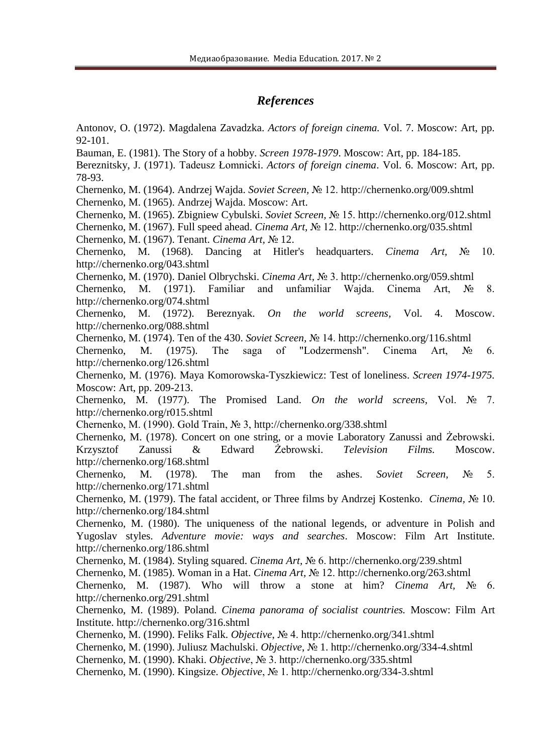### *References*

Antonov, O. (1972). Magdalena Zavadzka. *Actors of foreign cinema.* Vol. 7. Moscow: Art, pp. 92-101.

Bauman, E. (1981). The Story of a hobby. *Screen 1978-1979*. Moscow: Art, pp. 184-185.

Bereznitsky, J. (1971). [Tadeusz Łomnicki.](http://kino-teatr.ru/kino/acter/m/euro/34514/bio/) *Actors of foreign cinema*. Vol. 6. Moscow: Art, pp. 78-93.

Chernenko, M. (1964). Andrzej Wajda. *Soviet Screen,* № 12.<http://chernenko.org/009.shtml> Chernenko, M. (1965). Andrzej Wajda. Moscow: Art.

Chernenko, M. (1965). Zbigniew Cybulski. *Soviet Screen,* № 15.<http://chernenko.org/012.shtml>

Chernenko, M. (1967). Full speed ahead. *Cinema Art,* № 12.<http://chernenko.org/035.shtml> Chernenko, M. (1967). Tenant. *Cinema Art,* № 12.

Chernenko, M. (1968). Dancing at Hitler's headquarters. *Cinema Art,* № 10. <http://chernenko.org/043.shtml>

Chernenko, M. (1970). Daniel Olbrychski. *Cinema Art,* № 3.<http://chernenko.org/059.shtml> Chernenko, M. (1971). Familiar and unfamiliar Wajda. Cinema Art, № 8. <http://chernenko.org/074.shtml>

Chernenko, M. (1972). Bereznyak. *On the world screens,* Vol. 4. Moscow. <http://chernenko.org/088.shtml>

Chernenko, M. (1974). Ten of the 430. *Soviet Screen,* № 14.<http://chernenko.org/116.shtml>

Chernenko, M. (1975). The saga of "Lodzermensh". Cinema Art,  $N_2$  6. <http://chernenko.org/126.shtml>

Chernenko, M. (1976). Maya Komorowska-Tyszkiewicz: Test of loneliness. *Screen 1974-1975.* Moscow: Art, pp. 209-213.

Chernenko, M. (1977). The Promised Land. *On the world screens,* Vol. № 7. http://chernenko.org/r015.shtml

Chernenko, M. (1990). Gold Train, № 3,<http://chernenko.org/338.shtml>

Chernenko, M. (1978). Concert on one string, or a movie Laboratory Zanussi and Żebrowski. Krzysztof Zanussi & Edward Żebrowski. *Television Films.* Moscow. <http://chernenko.org/168.shtml>

Chernenko, M. (1978). The man from the ashes. *Soviet Screen,* № 5. <http://chernenko.org/171.shtml>

Chernenko, M. (1979). The fatal accident, or Three films by Andrzej Kostenko. *Cinema,* № 10. <http://chernenko.org/184.shtml>

Chernenko, M. (1980). The uniqueness of the national legends, or adventure in Polish and Yugoslav styles. *Adventure movie: ways and searches*. Moscow: Film Art Institute. <http://chernenko.org/186.shtml>

Chernenko, M. (1984). Styling squared. *Cinema Art,* № 6.<http://chernenko.org/239.shtml>

Chernenko, M. (1985). Woman in a Hat. *Cinema Art,* № 12.<http://chernenko.org/263.shtml>

Chernenko, M. (1987). Who will throw a stone at him? *Cinema Art,* № 6. <http://chernenko.org/291.shtml>

Chernenko, M. (1989). Poland. *Cinema panorama of socialist countries.* Moscow: Film Art Institute.<http://chernenko.org/316.shtml>

Chernenko, M. (1990). Feliks Falk. *Objective*, № 4.<http://chernenko.org/341.shtml>

Chernenko, M. (1990). Juliusz Machulski. *Objective*, № 1.<http://chernenko.org/334-4.shtml>

Chernenko, M. (1990). Khaki. *Objective*, № 3.<http://chernenko.org/335.shtml>

Chernenko, M. (1990). Kingsize. *Objective*, № 1.<http://chernenko.org/334-3.shtml>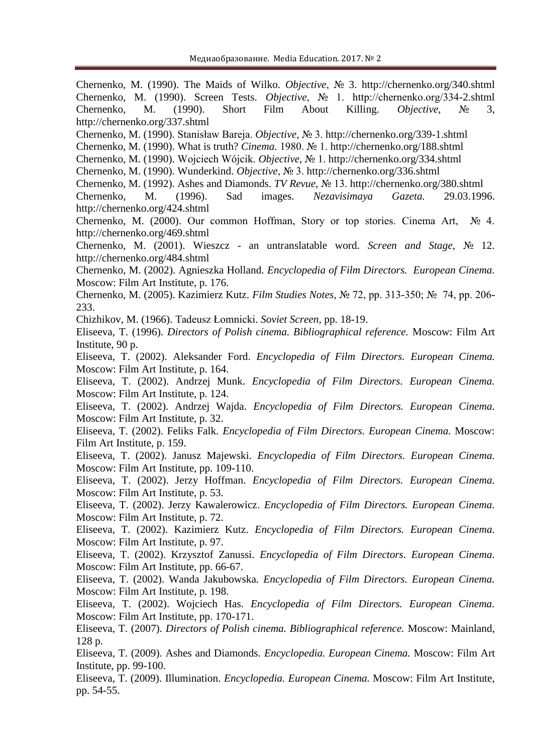Chernenko, M. (1990). The Maids of Wilko. *Objective*, № 3. http://chernenko.org/340.shtml Chernenko, M. (1990). Screen Tests. *Objective*, № 1. http://chernenko.org/334-2.shtml Chernenko, M. (1990). Short Film About Killing. *Objective*, № 3, <http://chernenko.org/337.shtml> Chernenko, M. (1990). Stanisław Bareja. *Objective*, № 3.<http://chernenko.org/339-1.shtml> Chernenko, M. (1990). What is truth? *Cinema.* 1980. № 1.<http://chernenko.org/188.shtml> Chernenko, M. (1990). Wojciech Wójcik. *Objective*, № 1.<http://chernenko.org/334.shtml> Chernenko, M. (1990). Wunderkind. *Objective*, № 3.<http://chernenko.org/336.shtml> Chernenko, M. (1992). Ashes and Diamonds. *TV Revue,* № 13.<http://chernenko.org/380.shtml> Chernenko, M. (1996). Sad images. *Nezavisimaya Gazeta.* 29.03.1996. <http://chernenko.org/424.shtml> Chernenko, M. (2000). Our common Hoffman, Story or top stories. Cinema Art, № 4. <http://chernenko.org/469.shtml> Chernenko, M. (2001). Wieszcz - an untranslatable word. *Screen and Stage*, № 12. <http://chernenko.org/484.shtml> Chernenko, M. (2002). Agnieszka Holland. *Encyclopedia of Film Directors. European Cinema.* Moscow: Film Art Institute, p. 176. Chernenko, M. (2005). Kazimierz Kutz. *Film Studies Notes,* № 72, pp. 313-350; № 74, pp. 206- 233. Chizhikov, M. (1966). [Tadeusz Łomnicki.](http://kino-teatr.ru/kino/acter/m/euro/34514/bio/) *Soviet Screen,* pp. 18-19. Eliseeva, T. (1996). *Directors of Polish cinema. Bibliographical reference.* Moscow: Film Art Institute, 90 p. Eliseeva, T. (2002). Aleksander Ford. *Encyclopedia of Film Directors. European Cinema.* Moscow: Film Art Institute, p. 164. Eliseeva, T. (2002). Andrzej Munk. *Encyclopedia of Film Directors. European Cinema.* Moscow: Film Art Institute, p. 124. Eliseeva, T. (2002). Andrzej Wajda. *Encyclopedia of Film Directors. European Cinema.* Moscow: Film Art Institute, p. 32. Eliseeva, T. (2002). Feliks Falk. *Encyclopedia of Film Directors. European Cinema.* Moscow: Film Art Institute, p. 159. Eliseeva, T. (2002). Janusz Majewski. *Encyclopedia of Film Directors. European Cinema.* Moscow: Film Art Institute, pp. 109-110. Eliseeva, T. (2002). Jerzy Hoffman. *Encyclopedia of Film Directors. European Cinema.* Moscow: Film Art Institute, p. 53. Eliseeva, T. (2002). Jerzy Kawalerowicz. *Encyclopedia of Film Directors. European Cinema.* Moscow: Film Art Institute, p. 72. Eliseeva, T. (2002). Kazimierz Kutz. *Encyclopedia of Film Directors. European Cinema.* Moscow: Film Art Institute, p. 97. Eliseeva, T. (2002). Krzysztof Zanussi. *Encyclopedia of Film Directors. European Cinema.* Moscow: Film Art Institute, pp. 66-67. Eliseeva, T. (2002). Wanda Jakubowska. *Encyclopedia of Film Directors. European Cinema.* Moscow: Film Art Institute, p. 198. Eliseeva, T. (2002). Wojciech Has. *Encyclopedia of Film Directors. European Cinema.* Moscow: Film Art Institute, pp. 170-171. Eliseeva, T. (2007). *Directors of Polish cinema. Bibliographical reference.* Moscow: Mainland, 128 p. Eliseeva, T. (2009). Ashes and Diamonds. *Encyclopedia. European Cinema.* Moscow: Film Art Institute, pp. 99-100. Eliseeva, T. (2009). Illumination. *Encyclopedia. European Cinema.* Moscow: Film Art Institute, pp. 54-55.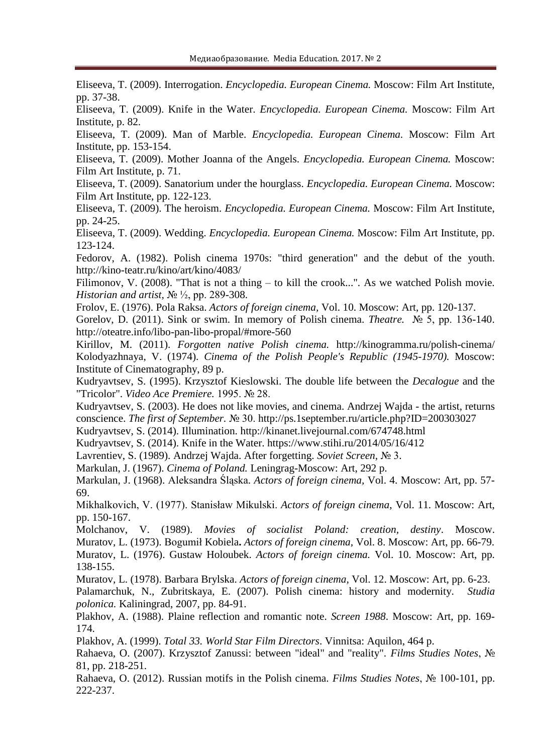Eliseeva, T. (2009). Interrogation. *Encyclopedia. European Cinema.* Moscow: Film Art Institute, pp. 37-38.

Eliseeva, T. (2009). Knife in the Water. *Encyclopedia. European Cinema.* Moscow: Film Art Institute, p. 82.

Eliseeva, T. (2009). Man of Marble. *Encyclopedia. European Cinema.* Moscow: Film Art Institute, pp. 153-154.

Eliseeva, T. (2009). Mother Joanna of the Angels. *Encyclopedia. European Cinema.* Moscow: Film Art Institute, p. 71.

Eliseeva, T. (2009). Sanatorium under the hourglass. *Encyclopedia. European Cinema.* Moscow: Film Art Institute, pp. 122-123.

Eliseeva, T. (2009). The heroism. *Encyclopedia. European Cinema.* Moscow: Film Art Institute, pp. 24-25.

Eliseeva, T. (2009). Wedding. *Encyclopedia. European Cinema.* Moscow: Film Art Institute, pp. 123-124.

Fedorov, A. (1982). Polish cinema 1970s: "third generation" and the debut of the youth. <http://kino-teatr.ru/kino/art/kino/4083/>

Filimonov, V. (2008). "That is not a thing – to kill the crook...". As we watched Polish movie. *Historian and artist,* № <sup>1</sup>/<sub>2</sub>, pp. 289-308.

Frolov, E. (1976). Pola Raksa. *Actors of foreign cinema,* Vol. 10. Moscow: Art, pp. 120-137.

Gorelov, D. (2011). Sink or swim. In memory of Polish cinema. *Theatre.* № 5, pp. 136-140. <http://oteatre.info/libo-pan-libo-propal/#more-560>

Kirillov, M. (2011). *Forgotten native Polish cinema.* http://kinogramma.ru/polish-cinema/ Kolodyazhnaya, V. (1974). *Cinema of the Polish People's Republic (1945-1970).* Moscow: Institute of Cinematography, 89 p.

Kudryavtsev, S. (1995). Krzysztof Kieslowski. The double life between the *Decalogue* and the "Tricolor". *Video Ace Premiere.* 1995. № 28.

Kudryavtsev, S. (2003). He does not like movies, and cinema. Andrzej Wajda - the artist, returns conscience. *The first of September.* № 30. <http://ps.1september.ru/article.php?ID=200303027>

Kudryavtsev, S. (2014). Illumination.<http://kinanet.livejournal.com/674748.html>

Kudryavtsev, S. (2014). Knife in the Water. <https://www.stihi.ru/2014/05/16/412>

Lavrentiev, S. (1989). Andrzej Wajda. After forgetting. *Soviet Screen,* № 3.

Markulan, J. (1967). *Cinema of Poland.* Leningrag-Moscow: Art, 292 p.

Markulan, J. (1968). [Aleksandra Śląska.](http://www.kino-teatr.ru/kino/acter/w/euro/78957/bio/) *Actors of foreign cinema,* Vol. 4. Moscow: Art, pp. 57- 69.

Mikhalkovich, V. (1977). Stanisław Mikulski. *Actors of foreign cinema*, Vol. 11. Moscow: Art, pp. 150-167.

Molchanov, V. (1989). *Movies of socialist Poland: creation, destiny*. Moscow. Muratov, L. (1973). Bogumił Kobiela**.** *Actors of foreign cinema,* Vol. 8. Moscow: Art, pp. 66-79. Muratov, L. (1976). Gustaw Holoubek. *Actors of foreign cinema.* Vol. 10. Moscow: Art, pp. 138-155.

Muratov, L. (1978). Barbara Brylska. *Actors of foreign cinema,* Vol. 12. Moscow: Art, pp. 6-23. Palamarchuk, N., Zubritskaya, E. (2007). Polish cinema: history and modernity. *Studia polonica.* Kaliningrad, 2007, pp. 84-91.

Plakhov, A. (1988). Plaine reflection and romantic note. *Screen 1988*. Moscow: Art, pp. 169- 174.

Plakhov, A. (1999). *Total 33. World Star Film Directors*. Vinnitsa: Aquilon, 464 p.

Rahaeva, O. (2007). Krzysztof Zanussi: between "ideal" and "reality". *Films Studies Notes*, № 81, pp. 218-251.

Rahaeva, O. (2012). Russian motifs in the Polish cinema. *Films Studies Notes*, № 100-101, pp. 222-237.